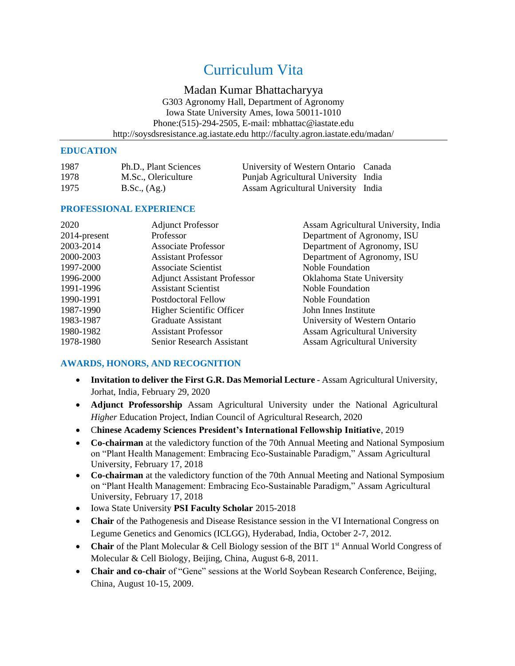# Curriculum Vita

# Madan Kumar Bhattacharyya

G303 Agronomy Hall, Department of Agronomy Iowa State University Ames, Iowa 50011-1010 Phone:(515)-294-2505, E-mail: [mbhattac@iastate.edu](mailto:gaohy@iastate.edu) [http://soysdsresistance.ag.iastate.edu](http://soysdsresistance.ag.iastate.edu/) <http://faculty.agron.iastate.edu/madan/>

## **EDUCATION**

| 1987 | Ph.D., Plant Sciences | University of Western Ontario Canada |  |
|------|-----------------------|--------------------------------------|--|
| 1978 | M.Sc., Olericulture   | Punjab Agricultural University India |  |
| 1975 | B.Sc., (Ag.)          | Assam Agricultural University India  |  |

# **PROFESSIONAL EXPERIENCE**

| 2020         | <b>Adjunct Professor</b>           | Assam Agricultural University, India |
|--------------|------------------------------------|--------------------------------------|
| 2014-present | Professor                          | Department of Agronomy, ISU          |
| 2003-2014    | <b>Associate Professor</b>         | Department of Agronomy, ISU          |
| 2000-2003    | <b>Assistant Professor</b>         | Department of Agronomy, ISU          |
| 1997-2000    | <b>Associate Scientist</b>         | Noble Foundation                     |
| 1996-2000    | <b>Adjunct Assistant Professor</b> | Oklahoma State University            |
| 1991-1996    | <b>Assistant Scientist</b>         | Noble Foundation                     |
| 1990-1991    | Postdoctoral Fellow                | Noble Foundation                     |
| 1987-1990    | Higher Scientific Officer          | John Innes Institute                 |
| 1983-1987    | <b>Graduate Assistant</b>          | University of Western Ontario        |
| 1980-1982    | <b>Assistant Professor</b>         | <b>Assam Agricultural University</b> |
| 1978-1980    | Senior Research Assistant          | <b>Assam Agricultural University</b> |
|              |                                    |                                      |

# **AWARDS, HONORS, AND RECOGNITION**

- **Invitation to deliver the First G.R. Das Memorial Lecture** Assam Agricultural University, Jorhat, India, February 29, 2020
- **Adjunct Professorship** Assam Agricultural University under the National Agricultural *Higher* Education Project, Indian Council of Agricultural Research, 2020
- C**hinese Academy Sciences President's International Fellowship Initiative**, 2019
- **Co-chairman** at the valedictory function of the 70th Annual Meeting and National Symposium on "Plant Health Management: Embracing Eco-Sustainable Paradigm," Assam Agricultural University, February 17, 2018
- **Co-chairman** at the valedictory function of the 70th Annual Meeting and National Symposium on "Plant Health Management: Embracing Eco-Sustainable Paradigm," Assam Agricultural University, February 17, 2018
- Iowa State University **PSI Faculty Scholar** 2015-2018
- **Chair** of the Pathogenesis and Disease Resistance session in the VI International Congress on Legume Genetics and Genomics (ICLGG), Hyderabad, India, October 2-7, 2012.
- **Chair** of the Plant Molecular & Cell Biology session of the BIT 1<sup>st</sup> Annual World Congress of Molecular & Cell Biology, Beijing, China, August 6-8, 2011.
- **Chair and co-chair** of "Gene" sessions at the World Soybean Research Conference, Beijing, China, August 10-15, 2009.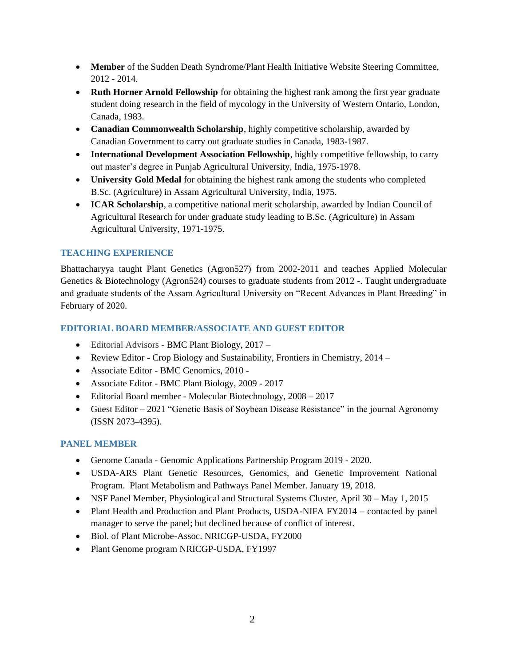- **Member** of the Sudden Death Syndrome/Plant Health Initiative Website Steering Committee, 2012 - 2014.
- **Ruth Horner Arnold Fellowship** for obtaining the highest rank among the first year graduate student doing research in the field of mycology in the University of Western Ontario, London, Canada, 1983.
- **Canadian Commonwealth Scholarship**, highly competitive scholarship, awarded by Canadian Government to carry out graduate studies in Canada, 1983-1987.
- **International Development Association Fellowship**, highly competitive fellowship, to carry out master's degree in Punjab Agricultural University, India, 1975-1978.
- **University Gold Medal** for obtaining the highest rank among the students who completed B.Sc. (Agriculture) in Assam Agricultural University, India, 1975.
- **ICAR Scholarship**, a competitive national merit scholarship, awarded by Indian Council of Agricultural Research for under graduate study leading to B.Sc. (Agriculture) in Assam Agricultural University, 1971-1975.

# **TEACHING EXPERIENCE**

Bhattacharyya taught Plant Genetics (Agron527) from 2002-2011 and teaches Applied Molecular Genetics & Biotechnology (Agron524) courses to graduate students from 2012 -. Taught undergraduate and graduate students of the Assam Agricultural University on "Recent Advances in Plant Breeding" in February of 2020.

# **EDITORIAL BOARD MEMBER/ASSOCIATE AND GUEST EDITOR**

- Editorial Advisors BMC Plant Biology, 2017 –
- Review Editor Crop Biology and Sustainability, Frontiers in Chemistry, 2014 –
- Associate Editor BMC Genomics, 2010 -
- Associate Editor BMC Plant Biology, 2009 2017
- Editorial Board member Molecular Biotechnology, 2008 2017
- Guest Editor 2021 "Genetic Basis of Soybean Disease Resistance" in the journal Agronomy (ISSN 2073-4395).

# **PANEL MEMBER**

- Genome Canada Genomic Applications Partnership Program 2019 2020.
- USDA-ARS Plant Genetic Resources, Genomics, and Genetic Improvement National Program. Plant Metabolism and Pathways Panel Member. January 19, 2018.
- NSF Panel Member, Physiological and Structural Systems Cluster, April 30 May 1, 2015
- Plant Health and Production and Plant Products, USDA-NIFA FY2014 contacted by panel manager to serve the panel; but declined because of conflict of interest.
- Biol. of Plant Microbe-Assoc. NRICGP-USDA, FY2000
- Plant Genome program NRICGP-USDA, FY1997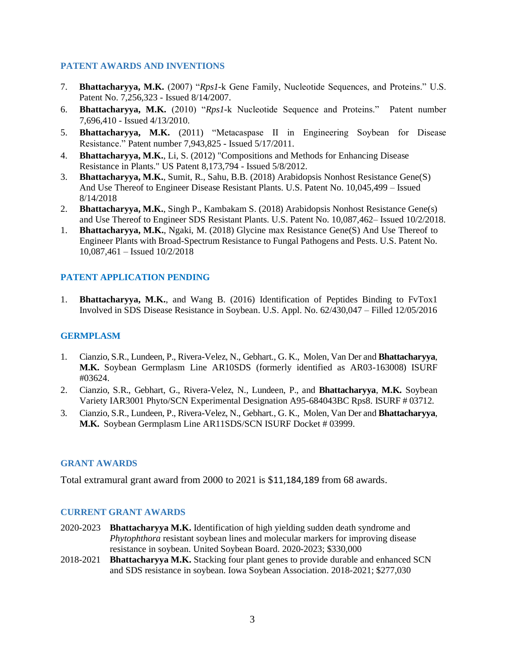## **PATENT AWARDS AND INVENTIONS**

- 7. **Bhattacharyya, M.K.** (2007) "*Rps1*-k Gene Family, Nucleotide Sequences, and Proteins." U.S. Patent No. 7,256,323 - Issued 8/14/2007.
- 6. **Bhattacharyya, M.K.** (2010) "*Rps1*-k Nucleotide Sequence and Proteins." Patent number 7,696,410 - Issued 4/13/2010.
- 5. **Bhattacharyya, M.K.** (2011) "Metacaspase II in Engineering Soybean for Disease Resistance." Patent number 7,943,825 - Issued 5/17/2011.
- 4. **Bhattacharyya, M.K.**, Li, S. (2012) "Compositions and Methods for Enhancing Disease Resistance in Plants." US Patent 8,173,794 - Issued 5/8/2012.
- 3. **Bhattacharyya, M.K.**, Sumit, R., Sahu, B.B. (2018) Arabidopsis Nonhost Resistance Gene(S) And Use Thereof to Engineer Disease Resistant Plants. U.S. Patent No. 10,045,499 – Issued 8/14/2018
- 2. **Bhattacharyya, M.K.**, Singh P., Kambakam S. (2018) Arabidopsis Nonhost Resistance Gene(s) and Use Thereof to Engineer SDS Resistant Plants. U.S. Patent No. 10,087,462– Issued 10/2/2018.
- 1. **Bhattacharyya, M.K.**, Ngaki, M. (2018) Glycine max Resistance Gene(S) And Use Thereof to Engineer Plants with Broad-Spectrum Resistance to Fungal Pathogens and Pests. U.S. Patent No. 10,087,461 – Issued 10/2/2018

## **PATENT APPLICATION PENDING**

1. **Bhattacharyya, M.K.**, and Wang B. (2016) Identification of Peptides Binding to FvTox1 Involved in SDS Disease Resistance in Soybean. U.S. Appl. No. 62/430,047 – Filled 12/05/2016

### **GERMPLASM**

- 1. Cianzio, S.R., Lundeen, P., Rivera-Velez, N., Gebhart., G. K., Molen, Van Der and **Bhattacharyya**, **M.K.** Soybean Germplasm Line AR10SDS (formerly identified as AR03-163008) ISURF #03624.
- 2. Cianzio, S.R., Gebhart, G., Rivera-Velez, N., Lundeen, P., and **Bhattacharyya**, **M.K.** Soybean Variety IAR3001 Phyto/SCN Experimental Designation A95-684043BC Rps8. ISURF # 03712.
- 3. Cianzio, S.R., Lundeen, P., Rivera-Velez, N., Gebhart., G. K., Molen, Van Der and **Bhattacharyya**, **M.K.** Soybean Germplasm Line AR11SDS/SCN ISURF Docket # 03999.

#### **GRANT AWARDS**

Total extramural grant award from 2000 to 2021 is \$11,184,189 from 68 awards.

#### **CURRENT GRANT AWARDS**

- 2020-2023 **Bhattacharyya M.K.** Identification of high yielding sudden death syndrome and *Phytophthora* resistant soybean lines and molecular markers for improving disease resistance in soybean. United Soybean Board. 2020-2023; \$330,000
- 2018-2021 **Bhattacharyya M.K.** Stacking four plant genes to provide durable and enhanced SCN and SDS resistance in soybean. Iowa Soybean Association. 2018-2021; \$277,030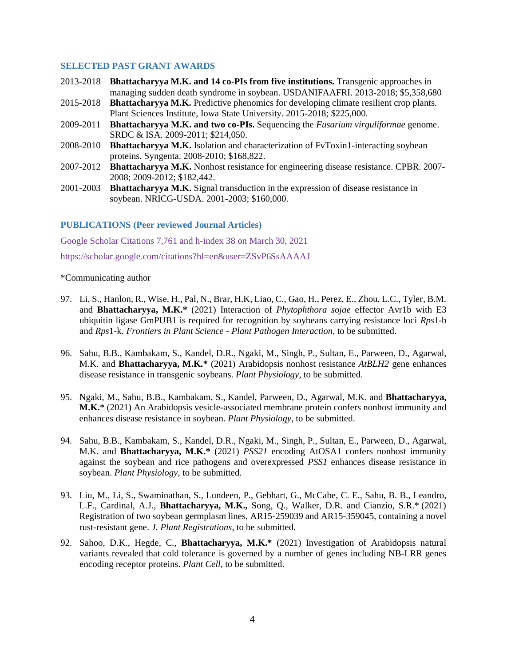#### **SELECTED PAST GRANT AWARDS**

- 2013-2018 **Bhattacharyya M.K. and 14 co-PIs from five institutions.** Transgenic approaches in managing sudden death syndrome in soybean. USDANIFAAFRI. 2013-2018; \$5,358,680
- 2015-2018 **Bhattacharyya M.K.** Predictive phenomics for developing climate resilient crop plants. Plant Sciences Institute, Iowa State University. 2015-2018; \$225,000.
- 2009-2011 **Bhattacharyya M.K. and two co-PIs.** Sequencing the *Fusarium virguliformae* genome. SRDC & ISA. 2009-2011; \$214,050.
- 2008-2010 **Bhattacharyya M.K.** Isolation and characterization of FvToxin1-interacting soybean proteins. Syngenta. 2008-2010; \$168,822.
- 2007-2012 **Bhattacharyya M.K.** Nonhost resistance for engineering disease resistance. CPBR. 2007- 2008; 2009-2012; \$182,442.
- 2001-2003 **Bhattacharyya M.K.** Signal transduction in the expression of disease resistance in soybean. NRICG-USDA. 2001-2003; \$160,000.

#### **PUBLICATIONS (Peer reviewed Journal Articles)**

[Google Scholar Citations 7,761](https://scholar.google.com/citations?user=ZSvP6SsAAAAJ&hl=en) and h-index 38 on March 30, 2021

<https://scholar.google.com/citations?hl=en&user=ZSvP6SsAAAAJ>

#### \*Communicating author

- 97. Li, S., Hanlon, R., Wise, H., Pal, N., Brar, H.K, Liao, C., Gao, H., Perez, E., Zhou, L.C., Tyler, B.M. and **Bhattacharyya, M.K.\*** (2021) Interaction of *Phytophthora sojae* effector Avr1b with E3 ubiquitin ligase GmPUB1 is required for recognition by soybeans carrying resistance loci *Rps*1-b and *Rps*1-k. *Frontiers in Plant Science - Plant Pathogen Interaction*, to be submitted.
- 96. Sahu, B.B., Kambakam, S., Kandel, D.R., Ngaki, M., Singh, P., Sultan, E., Parween, D., Agarwal, M.K. and **Bhattacharyya, M.K.\*** (2021) Arabidopsis nonhost resistance *AtBLH2* gene enhances disease resistance in transgenic soybeans. *Plant Physiology*, to be submitted.
- 95. Ngaki, M., Sahu, B.B., Kambakam, S., Kandel, Parween, D., Agarwal, M.K. and **Bhattacharyya, M.K.**\* (2021) An Arabidopsis vesicle-associated membrane protein confers nonhost immunity and enhances disease resistance in soybean. *Plant Physiology*, to be submitted.
- 94. Sahu, B.B., Kambakam, S., Kandel, D.R., Ngaki, M., Singh, P., Sultan, E., Parween, D., Agarwal, M.K. and **Bhattacharyya, M.K.\*** (2021) *PSS21* encoding AtOSA1 confers nonhost immunity against the soybean and rice pathogens and overexpressed *PSS1* enhances disease resistance in soybean. *Plant Physiology*, to be submitted.
- 93. Liu, M., Li, S., Swaminathan, S., Lundeen, P., Gebhart, G., McCabe, C. E., Sahu, B. B., Leandro, L.F., Cardinal, A.J., **Bhattacharyya, M.K.,** Song, Q., Walker, D.R. and Cianzio, S.R.\* (2021) Registration of two soybean germplasm lines, AR15-259039 and AR15-359045, containing a novel rust-resistant gene. *J. Plant Registrations*, to be submitted.
- 92. Sahoo, D.K., Hegde, C., **Bhattacharyya, M.K.\*** (2021) Investigation of Arabidopsis natural variants revealed that cold tolerance is governed by a number of genes including NB-LRR genes encoding receptor proteins. *Plant Cell,* to be submitted.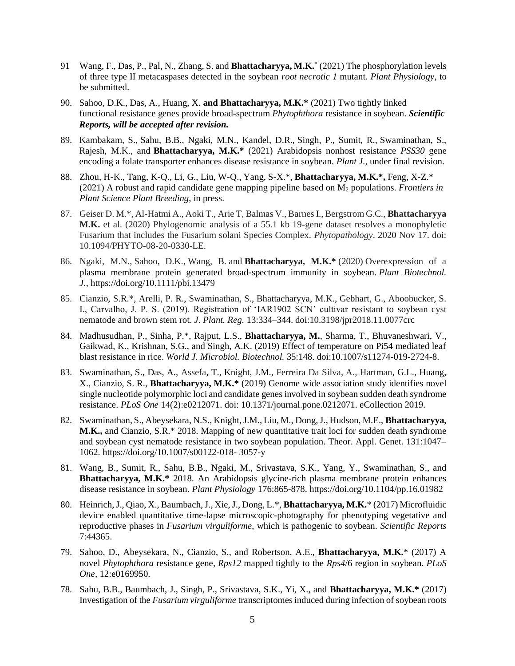- 91 Wang, F., Das, P., Pal, N., Zhang, S. and **Bhattacharyya, M.K.\*** (2021) The phosphorylation levels of three type II metacaspases detected in the soybean *root necrotic 1* mutant. *Plant Physiology*, to be submitted.
- 90. Sahoo, D.K., Das, A., Huang, X. **and Bhattacharyya, M.K.\*** (2021) Two tightly linked functional resistance genes provide broad-spectrum *Phytophthora* resistance in soybean. *Scientific Reports, will be accepted after revision.*
- 89. Kambakam, S., Sahu, B.B., Ngaki, M.N., Kandel, D.R., Singh, P., Sumit, R., Swaminathan, S., Rajesh, M.K., and **Bhattacharyya, M.K.\*** (2021) Arabidopsis nonhost resistance *PSS30* gene encoding a folate transporter enhances disease resistance in soybean. *Plant J.,* under final revision.
- 88. Zhou, H-K., Tang, K-Q., Li, G., Liu, W-Q., Yang, S-X.\*, **Bhattacharyya, M.K.\*,** Feng, X-Z.\* (2021) A robust and rapid candidate gene mapping pipeline based on M<sup>2</sup> populations. *Frontiers in Plant Science Plant Breeding*, in press.
- 87. Geiser D. M.\*, Al-Hatmi A., Aoki T., Arie T, Balmas V., Barnes I., Bergstrom G.C., **Bhattacharyya M.K.** et al. (2020) Phylogenomic analysis of a 55.1 kb 19-gene dataset resolves a monophyletic Fusarium that includes the Fusarium solani Species Complex. *Phytopathology*. 2020 Nov 17. doi: 10.1094/PHYTO-08-20-0330-LE.
- 86. Ngaki, M.N., Sahoo, D.K., Wang, B. and **Bhattacharyya, M.K.\*** (2020) Overexpression of a plasma membrane protein generated broad‐spectrum immunity in soybean. *Plant Biotechnol. J.*, <https://doi.org/10.1111/pbi.13479>
- 85. Cianzio, S.R.\*, Arelli, P. R., Swaminathan, S., Bhattacharyya, M.K., Gebhart, G., Aboobucker, S. I., Carvalho, J. P. S. (2019). Registration of 'IAR1902 SCN' cultivar resistant to soybean cyst nematode and brown stem rot. *J. Plant. Reg.* 13:334–344. doi:10.3198/jpr2018.11.0077crc
- 84. Madhusudhan, P., Sinha, P.\*, Rajput, L.S., **Bhattacharyya, M.**, Sharma, T., Bhuvaneshwari, V., Gaikwad, K., Krishnan, S.G., and Singh, A.K. (2019) Effect of temperature on Pi54 mediated leaf blast resistance in rice. *World J. Microbiol. Biotechnol.* 35:148. doi:10.1007/s11274-019-2724-8.
- 83. Swaminathan, S., Das, A., Assefa, T., Knight, J.M., Ferreira Da Silva, A., Hartman, G.L., Huang, X., Cianzio, S. R., **Bhattacharyya, M.K.\*** (2019) Genome wide association study identifies novel single nucleotide polymorphic loci and candidate genes involved in soybean sudden death syndrome resistance. *PLoS One* 14(2):e0212071. doi: 10.1371/journal.pone.0212071. eCollection 2019.
- 82. Swaminathan, S., Abeysekara, N.S., Knight, J.M., Liu, M., Dong, J., Hudson, M.E., **Bhattacharyya, M.K.,** and Cianzio, S.R.\* 2018. Mapping of new quantitative trait loci for sudden death syndrome and soybean cyst nematode resistance in two soybean population. Theor. Appl. Genet. 131:1047– 1062. https://doi.org/10.1007/s00122-018- 3057-y
- 81. Wang, B., Sumit, R., Sahu, B.B., Ngaki, M., Srivastava, S.K., Yang, Y., Swaminathan, S., and **Bhattacharyya, M.K.\*** 2018. An Arabidopsis glycine-rich plasma membrane protein enhances disease resistance in soybean. *Plant Physiology* 176:865-878. https://doi.org/10.1104/pp.16.01982
- 80. Heinrich, J., Qiao, X., Baumbach, J., Xie, J., Dong, L.\*, **Bhattacharyya, M.K.**\* (2017) Microfluidic device enabled quantitative time-lapse microscopic-photography for phenotyping vegetative and reproductive phases in *Fusarium virguliforme*, which is pathogenic to soybean. *Scientific Reports* 7:44365.
- 79. Sahoo, D., Abeysekara, N., Cianzio, S., and Robertson, A.E., **Bhattacharyya, M.K.**\* (2017) A novel *Phytophthora* resistance gene, *Rps12* mapped tightly to the *Rps4*/6 region in soybean. *PLoS One,* 12:e0169950.
- 78. Sahu, B.B., Baumbach, J., Singh, P., Srivastava, S.K., Yi, X., and **Bhattacharyya, M.K.\*** (2017) Investigation of the *Fusarium virguliforme* transcriptomes induced during infection of soybean roots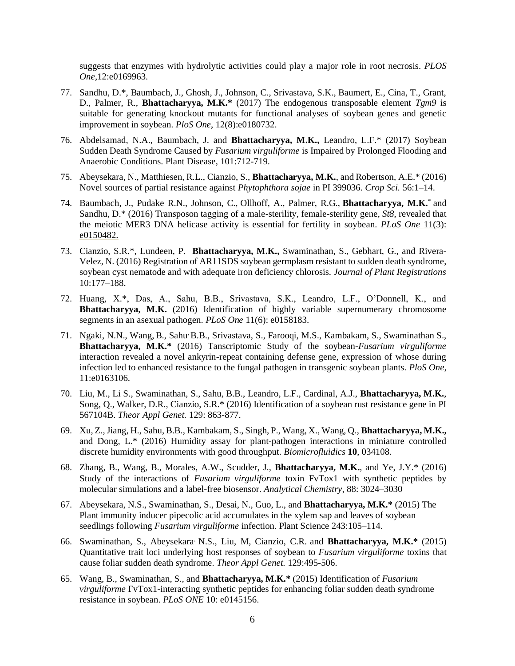suggests that enzymes with hydrolytic activities could play a major role in root necrosis. *PLOS One,*12:e0169963.

- 77. Sandhu, D.\*, Baumbach, J., Ghosh, J., Johnson, C., Srivastava, S.K., Baumert, E., Cina, T., Grant, D., Palmer, R., **Bhattacharyya, M.K.\*** (2017) The endogenous transposable element *Tgm9* is suitable for generating knockout mutants for functional analyses of soybean genes and genetic improvement in soybean. *PloS One*, 12(8):e0180732.
- 76. Abdelsamad, N.A., Baumbach, J. and **Bhattacharyya, M.K.,** Leandro, L.F.\* (2017) Soybean Sudden Death Syndrome Caused by *Fusarium virguliforme* is Impaired by Prolonged Flooding and Anaerobic Conditions. Plant Disease, 101:712-719.
- 75. Abeysekara, N., Matthiesen, R.L., Cianzio, S., **Bhattacharyya, M.K.**, and Robertson, A.E.\* (2016) Novel sources of partial resistance against *Phytophthora sojae* in PI 399036. *Crop Sci.* 56:1–14.
- 74. Baumbach, J., Pudake R.N., Johnson, C., Ollhoff, A., Palmer, R.G., **Bhattacharyya, M.K.**\* and Sandhu, D.\* (2016) Transposon tagging of a male-sterility, female-sterility gene, *St8*, revealed that the meiotic MER3 DNA helicase activity is essential for fertility in soybean. *PLoS One* 11(3): e0150482.
- 73. Cianzio, S.R.\*, Lundeen, P. **Bhattacharyya, M.K.,** Swaminathan, S., Gebhart, G., and Rivera-Velez, N. (2016) Registration of AR11SDS soybean germplasm resistant to sudden death syndrome, soybean cyst nematode and with adequate iron deficiency chlorosis. *Journal of Plant Registrations* 10:177–188.
- 72. Huang, X.\*, Das, A., Sahu, B.B., Srivastava, S.K., Leandro, L.F., O'Donnell, K., and **Bhattacharyya, M.K.** (2016) Identification of highly variable supernumerary chromosome segments in an asexual pathogen. *PLoS One* 11(6): e0158183.
- 71. Ngaki, N.N., Wang, B., Sahu, B.B., Srivastava, S., Farooqi, M.S., Kambakam, S., Swaminathan S., **Bhattacharyya, M.K.\*** (2016) Tanscriptomic Study of the soybean-*Fusarium virguliforme* interaction revealed a novel ankyrin-repeat containing defense gene, expression of whose during infection led to enhanced resistance to the fungal pathogen in transgenic soybean plants. *PloS One*, 11:e0163106.
- 70. Liu, M., Li S., Swaminathan, S., Sahu, B.B., Leandro, L.F., Cardinal, A.J., **Bhattacharyya, M.K.**, Song, Q., Walker, D.R., Cianzio, S.R.\* (2016) Identification of a soybean rust resistance gene in PI 567104B. *Theor Appl Genet.* 129: 863-877.
- 69. Xu, Z., Jiang, H., Sahu, B.B., Kambakam, S., Singh, P., Wang, X., Wang, Q., **Bhattacharyya, M.K.,**  and Dong, L.\* (2016) Humidity assay for plant-pathogen interactions in miniature controlled discrete humidity environments with good throughput. *Biomicrofluidics* **10**, 034108.
- 68. Zhang, B., Wang, B., Morales, A.W., Scudder, J., **Bhattacharyya, M.K.**, and Ye, J.Y.\* (2016) Study of the interactions of *Fusarium virguliforme* toxin FvTox1 with synthetic peptides by molecular simulations and a label-free biosensor. *Analytical Chemistry,* 88: 3024–3030
- 67. Abeysekara, N.S., Swaminathan, S., Desai, N., Guo, L., and **Bhattacharyya, M.K.\*** (2015) The Plant immunity inducer pipecolic acid accumulates in the xylem sap and leaves of soybean seedlings following *Fusarium virguliforme* infection. Plant Science 243:105–114.
- 66. Swaminathan, S., Abeysekara, N.S., Liu, M, Cianzio, C.R. and **Bhattacharyya, M.K.\*** (2015) Quantitative trait loci underlying host responses of soybean to *Fusarium virguliforme* toxins that cause foliar sudden death syndrome. *Theor Appl Genet.* 129:495-506.
- 65. Wang, B., Swaminathan, S., and **Bhattacharyya, M.K.\*** (2015) Identification of *Fusarium virguliforme* FvTox1-interacting synthetic peptides for enhancing foliar sudden death syndrome resistance in soybean. *PLoS ONE* 10: e0145156.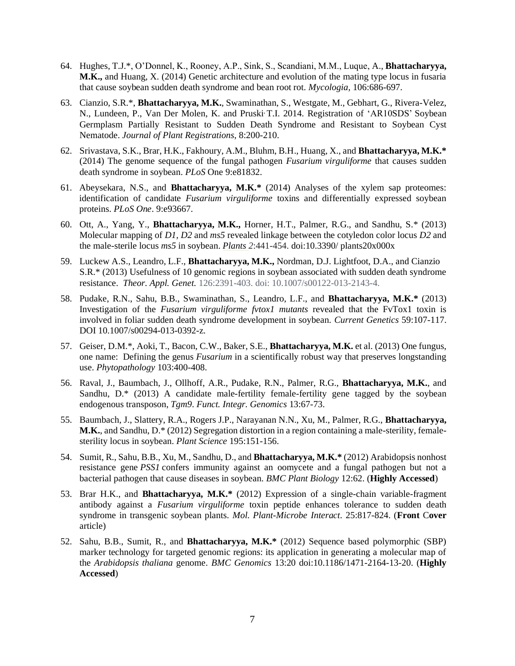- 64. Hughes, T.J.\*, O'Donnel, K., Rooney, A.P., Sink, S., Scandiani, M.M., Luque, A., **Bhattacharyya, M.K.,** and Huang, X. (2014) Genetic architecture and evolution of the mating type locus in fusaria that cause soybean sudden death syndrome and bean root rot. *Mycologia,* 106:686-697.
- 63. Cianzio, S.R.\*, **Bhattacharyya, M.K.**, Swaminathan, S., Westgate, M., Gebhart, G., Rivera-Velez, N., Lundeen, P., Van Der Molen, K. and Pruski T.I. 2014. Registration of 'AR10SDS' Soybean Germplasm Partially Resistant to Sudden Death Syndrome and Resistant to Soybean Cyst Nematode. *Journal of Plant Registrations*, 8:200-210.
- 62. Srivastava, S.K., Brar, H.K., Fakhoury, A.M., Bluhm, B.H., Huang, X., and **Bhattacharyya, M.K.\*** (2014) The genome sequence of the fungal pathogen *Fusarium virguliforme* that causes sudden death syndrome in soybean. *PLoS* One 9:e81832.
- 61. Abeysekara, N.S., and **Bhattacharyya, M.K.\*** (2014) Analyses of the xylem sap proteomes: identification of candidate *Fusarium virguliforme* toxins and differentially expressed soybean proteins. *PLoS One*. 9:e93667.
- 60. Ott, A., Yang, Y., **Bhattacharyya, M.K.,** Horner, H.T., Palmer, R.G., and Sandhu, S.\* (2013) Molecular mapping of *D1, D2* and *ms5* revealed linkage between the cotyledon color locus *D2* and the male-sterile locus *ms5* in soybean. *Plants 2*:441-454. doi:10.3390/ plants20x000x
- 59. Luckew A.S., Leandro, L.F., **Bhattacharyya, M.K.,** Nordman, D.J. Lightfoot, D.A., and Cianzio S.R.\* (2013) Usefulness of 10 genomic regions in soybean associated with sudden death syndrome resistance. *Theor. Appl. Genet.* 126:2391-403. doi: 10.1007/s00122-013-2143-4.
- 58. Pudake, R.N., Sahu, B.B., Swaminathan, S., Leandro, L.F., and **Bhattacharyya, M.K.\*** (2013) Investigation of the *Fusarium virguliforme fvtox1 mutants* revealed that the FvTox1 toxin is involved in foliar sudden death syndrome development in soybean. *Current Genetics* 59:107-117. DOI 10.1007/s00294-013-0392-z.
- 57. Geiser, D.M.\*, Aoki, T., Bacon, C.W., Baker, S.E., **Bhattacharyya, M.K.** et al. (2013) One fungus, one name: Defining the genus *Fusarium* in a scientifically robust way that preserves longstanding use. *Phytopathology* 103:400-408.
- 56. Raval, J., Baumbach, J., Ollhoff, A.R., Pudake, R.N., Palmer, R.G., **Bhattacharyya, M.K.**, and Sandhu, D.\* (2013) A candidate male-fertility female-fertility gene tagged by the soybean endogenous transposon, *Tgm9*. *Funct. Integr. Genomics* 13:67-73.
- 55. Baumbach, J., Slattery, R.A., Rogers J.P., Narayanan N.N., Xu, M., Palmer, R.G., **Bhattacharyya, M.K.**, and Sandhu, D.\* (2012) Segregation distortion in a region containing a male-sterility, femalesterility locus in soybean. *Plant Science* 195:151-156.
- 54. Sumit, R., Sahu, B.B., Xu, M., Sandhu, D., and **Bhattacharyya, M.K.\*** (2012) Arabidopsis nonhost resistance gene *PSS1* confers immunity against an oomycete and a fungal pathogen but not a bacterial pathogen that cause diseases in soybean. *BMC Plant Biology* 12:62. (**Highly Accessed**)
- 53. Brar H.K., and **Bhattacharyya, M.K.\*** (2012) Expression of a single-chain variable-fragment antibody against a *Fusarium virguliforme* toxin peptide enhances tolerance to sudden death syndrome in transgenic soybean plants. *Mol. Plant-Microbe Interact*. 25:817-824. (**Front** C**over**  article)
- 52. Sahu, B.B., Sumit, R., and **Bhattacharyya, M.K.\*** (2012) Sequence based polymorphic (SBP) marker technology for targeted genomic regions: its application in generating a molecular map of the *Arabidopsis thaliana* genome. *BMC Genomics* 13:20 doi:10.1186/1471-2164-13-20. (**Highly Accessed**)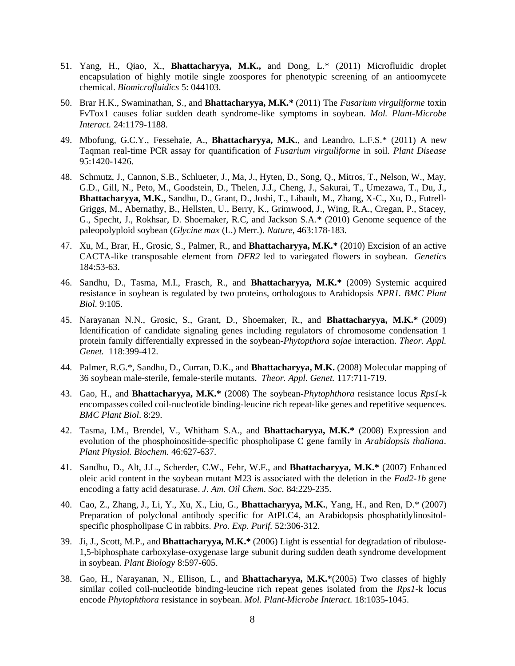- 51. Yang, H., Qiao, X., **Bhattacharyya, M.K.,** and Dong, L.\* (2011) Microfluidic droplet encapsulation of highly motile single zoospores for phenotypic screening of an antioomycete chemical. *Biomicrofluidics* 5: 044103.
- 50. Brar H.K., Swaminathan, S., and **Bhattacharyya, M.K.\*** (2011) The *Fusarium virguliforme* toxin FvTox1 causes foliar sudden death syndrome-like symptoms in soybean. *Mol. Plant-Microbe Interact.* 24:1179-1188.
- 49. Mbofung, G.C.Y., Fessehaie, A., **Bhattacharyya, M.K.**, and Leandro, L.F.S.\* (2011) A new Taqman real-time PCR assay for quantification of *Fusarium virguliforme* in soil. *Plant Disease* 95:1420-1426.
- 48. Schmutz, J., Cannon, S.B., Schlueter, J., Ma, J., Hyten, D., Song, Q., Mitros, T., Nelson, W., May, G.D., Gill, N., Peto, M., Goodstein, D., Thelen, J.J., Cheng, J., Sakurai, T., Umezawa, T., Du, J., **Bhattacharyya, M.K.,** Sandhu, D., Grant, D., Joshi, T., Libault, M., Zhang, X-C., Xu, D., Futrell-Griggs, M., Abernathy, B., Hellsten, U., Berry, K., Grimwood, J., Wing, R.A., Cregan, P., Stacey, G., Specht, J., Rokhsar, D. Shoemaker, R.C, and Jackson S.A.\* (2010) Genome sequence of the paleopolyploid soybean (*Glycine max* (L.) Merr.). *Nature*, 463:178-183.
- 47. Xu, M., Brar, H., Grosic, S., Palmer, R., and **Bhattacharyya, M.K.\*** (2010) Excision of an active CACTA-like transposable element from *DFR2* led to variegated flowers in soybean*. Genetics* 184:53-63.
- 46. Sandhu, D., Tasma, M.I., Frasch, R., and **Bhattacharyya, M.K.\*** (2009) Systemic acquired resistance in soybean is regulated by two proteins, orthologous to Arabidopsis *NPR1. BMC Plant Biol*. 9:105.
- 45. Narayanan N.N., Grosic, S., Grant, D., Shoemaker, R., and **Bhattacharyya, M.K.\*** (2009) Identification of candidate signaling genes including regulators of chromosome condensation 1 protein family differentially expressed in the soybean-*Phytopthora sojae* interaction. *Theor. Appl. Genet.* [118:399-412.](http://www.public.iastate.edu/~mbhattac/bhattacharyya/bhattacharyya/bhattacharyya/Publications/Narayanan%20et%20al.%202008.pdf)
- 44. Palmer, R.G.\*, Sandhu, D., Curran, D.K., and **Bhattacharyya, M.K.** (2008) Molecular mapping of 36 soybean male-sterile, female-sterile mutants. *Theor. Appl. Genet.* [117:711-719.](http://www.public.iastate.edu/~mbhattac/bhattacharyya/bhattacharyya/bhattacharyya/Publications/Palmer%20et%20al.%202008.pdf)
- 43. Gao, H., and **Bhattacharyya, M.K.\*** (2008) The soybean-*Phytophthora* resistance locus *Rps1*-k encompasses coiled coil-nucleotide binding-leucine rich repeat-like genes and repetitive sequences. *BMC Plant Biol*. 8:29.
- 42. Tasma, I.M., Brendel, V., Whitham S.A., and **Bhattacharyya, M.K.\*** (2008) Expression and evolution of the phosphoinositide-specific phospholipase C gene family in *Arabidopsis thaliana*. *Plant Physiol. Biochem.* 46:627-637.
- 41. Sandhu, D., Alt, J.L., Scherder, C.W., Fehr, W.F., and **Bhattacharyya, M.K.\*** (2007) Enhanced oleic acid content in the soybean mutant M23 is associated with the deletion in the *Fad2-1b* gene encoding a fatty acid desaturase. *J. Am. Oil Chem. Soc.* 84:229-235.
- 40. Cao, Z., Zhang, J., Li, Y., Xu, X., Liu, G., **Bhattacharyya, M.K.**, Yang, H., and Ren, D.\* (2007) Preparation of polyclonal antibody specific for AtPLC4, an Arabidopsis phosphatidylinositolspecific phospholipase C in rabbits. *Pro. Exp. Purif.* 52:306-312.
- 39. Ji, J., Scott, M.P., and **Bhattacharyya, M.K.\*** (2006) Light is essential for degradation of ribulose-1,5-biphosphate carboxylase-oxygenase large subunit during sudden death syndrome development in soybean. *Plant Biology* 8:597-605.
- 38. Gao, H., Narayanan, N., Ellison, L., and **Bhattacharyya, M.K.**\*(2005) Two classes of highly similar coiled coil-nucleotide binding-leucine rich repeat genes isolated from the *Rps1*-k locus encode *Phytophthora* resistance in soybean. *Mol. Plant-Microbe Interact.* 18:1035-1045.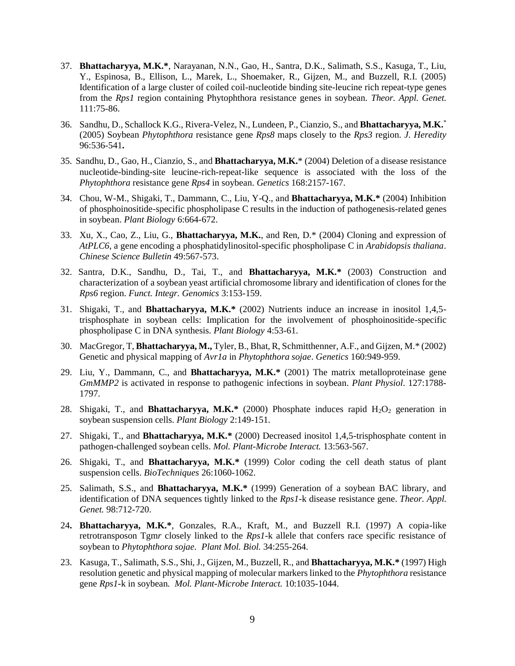- 37. **Bhattacharyya, M.K.\***, Narayanan, N.N., Gao, H., Santra, D.K., Salimath, S.S., Kasuga, T., Liu, Y., Espinosa, B., Ellison, L., Marek, L., Shoemaker, R., Gijzen, M., and Buzzell, R.I. (2005) Identification of a large cluster of coiled coil-nucleotide binding site-leucine rich repeat-type genes from the *Rps1* region containing Phytophthora resistance genes in soybean*. Theor. Appl. Genet.* 111:75-86.
- 36. Sandhu, D., Schallock K.G., Rivera-Velez, N., Lundeen, P., Cianzio, S., and **Bhattacharyya, M.K.**\* (2005) Soybean *Phytophthora* resistance gene *Rps8* maps closely to the *Rps3* region. *J. Heredity*  96:536-541**.**
- 35. Sandhu, D., Gao, H., Cianzio, S., and **Bhattacharyya, M.K.**\* (2004) Deletion of a disease resistance nucleotide-binding-site leucine-rich-repeat-like sequence is associated with the loss of the *Phytophthora* resistance gene *Rps4* in soybean. *Genetics* 168:2157-167.
- 34. Chou, W-M., Shigaki, T., Dammann, C., Liu, Y-Q., and **Bhattacharyya, M.K.\*** (2004) Inhibition of phosphoinositide-specific phospholipase C results in the induction of pathogenesis-related genes in soybean. *Plant Biology* 6:664-672.
- 33. Xu, X., Cao, Z., Liu, G., **Bhattacharyya, M.K.**, and Ren, D.\* (2004) Cloning and expression of *AtPLC6*, a gene encoding a phosphatidylinositol-specific phospholipase C in *Arabidopsis thaliana*. *Chinese Science Bulletin* 49:567-573.
- 32. Santra, D.K., Sandhu, D., Tai, T., and **Bhattacharyya, M.K.\*** (2003) Construction and characterization of a soybean yeast artificial chromosome library and identification of clones for the *Rps6* region. *Funct. Integr. Genomics* 3:153-159.
- 31. Shigaki, T., and **Bhattacharyya, M.K.\*** (2002) Nutrients induce an increase in inositol 1,4,5 trisphosphate in soybean cells: Implication for the involvement of phosphoinositide-specific phospholipase C in DNA synthesis. *Plant Biology* 4:53-61.
- 30. MacGregor, T, **Bhattacharyya, M.,** Tyler, B., Bhat, R, Schmitthenner, A.F., and Gijzen, M.\* (2002) Genetic and physical mapping of *Avr1a* in *Phytophthora sojae*. *Genetics* 160:949-959.
- 29. Liu, Y., Dammann, C., and **Bhattacharyya, M.K.\*** (2001) The matrix metalloproteinase gene *GmMMP2* is activated in response to pathogenic infections in soybean. *Plant Physiol*. 127:1788- 1797.
- 28. Shigaki, T., and **Bhattacharyya, M.K.\*** (2000) Phosphate induces rapid H<sub>2</sub>O<sub>2</sub> generation in soybean suspension cells. *Plant Biology* 2:149-151.
- 27. Shigaki, T., and **Bhattacharyya, M.K.\*** (2000) Decreased inositol 1,4,5-trisphosphate content in pathogen-challenged soybean cells. *Mol. Plant-Microbe Interact.* 13:563-567.
- 26. Shigaki, T., and **Bhattacharyya, M.K.\*** (1999) Color coding the cell death status of plant suspension cells. *BioTechniques* 26:1060-1062.
- 25. Salimath, S.S., and **Bhattacharyya, M.K.\*** (1999) Generation of a soybean BAC library, and identification of DNA sequences tightly linked to the *Rps1*-k disease resistance gene. *Theor. Appl. Genet.* 98:712-720.
- 24**. Bhattacharyya, M.K.\***, Gonzales, R.A., Kraft, M., and Buzzell R.I. (1997) A copia-like retrotransposon Tgm*r* closely linked to the *Rps1*-k allele that confers race specific resistance of soybean to *Phytophthora sojae. Plant Mol. Biol.* 34:255-264.
- 23. Kasuga, T., Salimath, S.S., Shi, J., Gijzen, M., Buzzell, R., and **Bhattacharyya, M.K.\*** (1997) High resolution genetic and physical mapping of molecular markers linked to the *Phytophthora* resistance gene *Rps1*-k in soybean*. Mol. Plant-Microbe Interact.* 10:1035-1044.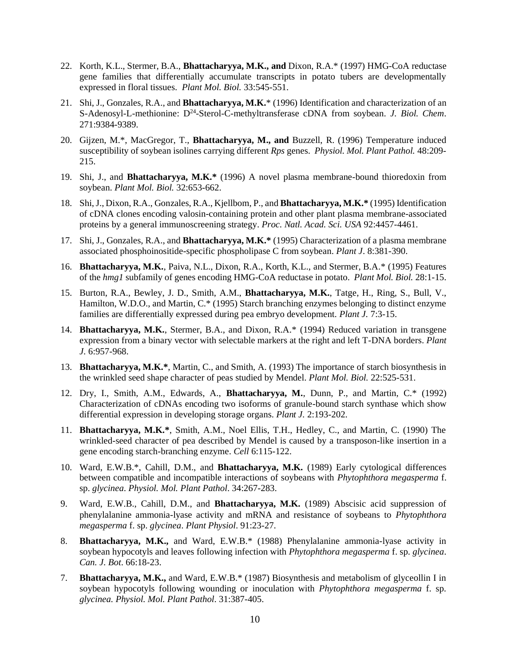- 22. Korth, K.L., Stermer, B.A., **Bhattacharyya, M.K., and** Dixon, R.A.\* (1997) HMG-CoA reductase gene families that differentially accumulate transcripts in potato tubers are developmentally expressed in floral tissues. *Plant Mol. Biol.* 33:545-551.
- 21. Shi, J., Gonzales, R.A., and **Bhattacharyya, M.K.**\* (1996) Identification and characterization of an S-Adenosyl-L-methionine: D<sup>24</sup>-Sterol-C-methyltransferase cDNA from soybean. *J. Biol. Chem.* 271:9384-9389.
- 20. Gijzen, M.\*, MacGregor, T., **Bhattacharyya, M., and** Buzzell, R. (1996) Temperature induced susceptibility of soybean isolines carrying different *Rps* genes. *Physiol. Mol. Plant Pathol.* 48:209- 215.
- 19. Shi, J., and **Bhattacharyya, M.K.\*** (1996) A novel plasma membrane-bound thioredoxin from soybean. *Plant Mol. Biol.* 32:653-662.
- 18. Shi, J., Dixon, R.A., Gonzales, R.A., Kjellbom, P., and **Bhattacharyya, M.K.\*** (1995) Identification of cDNA clones encoding valosin-containing protein and other plant plasma membrane-associated proteins by a general immunoscreening strategy. *Proc. Natl. Acad. Sci. USA* 92:4457-4461.
- 17. Shi, J., Gonzales, R.A., and **Bhattacharyya, M.K.\*** (1995) Characterization of a plasma membrane associated phosphoinositide-specific phospholipase C from soybean. *Plant J*. 8:381-390.
- 16. **Bhattacharyya, M.K.**, Paiva, N.L., Dixon, R.A., Korth, K.L., and Stermer, B.A.\* (1995) Features of the *hmg1* subfamily of genes encoding HMG-CoA reductase in potato. *Plant Mol. Biol.* 28:1-15.
- 15. Burton, R.A., Bewley, J. D., Smith, A.M., **Bhattacharyya, M.K.**, Tatge, H., Ring, S., Bull, V., Hamilton, W.D.O., and Martin, C.\* (1995) Starch branching enzymes belonging to distinct enzyme families are differentially expressed during pea embryo development. *Plant J.* 7:3-15.
- 14. **Bhattacharyya, M.K.**, Stermer, B.A., and Dixon, R.A.\* (1994) Reduced variation in transgene expression from a binary vector with selectable markers at the right and left T-DNA borders. *Plant J.* 6:957-968.
- 13. **Bhattacharyya, M.K.\***, Martin, C., and Smith, A. (1993) The importance of starch biosynthesis in the wrinkled seed shape character of peas studied by Mendel. *Plant Mol. Biol.* 22:525-531.
- 12. Dry, I., Smith, A.M., Edwards, A., **Bhattacharyya, M.**, Dunn, P., and Martin, C.\* (1992) Characterization of cDNAs encoding two isoforms of granule-bound starch synthase which show differential expression in developing storage organs. *Plant J.* 2:193-202.
- 11. **Bhattacharyya, M.K.\***, Smith, A.M., Noel Ellis, T.H., Hedley, C., and Martin, C. (1990) The wrinkled-seed character of pea described by Mendel is caused by a transposon-like insertion in a gene encoding starch-branching enzyme. *Cell* 6:115-122.
- 10. Ward, E.W.B.\*, Cahill, D.M., and **Bhattacharyya, M.K.** (1989) Early cytological differences between compatible and incompatible interactions of soybeans with *Phytophthora megasperma* f. sp. *glycinea*. *Physiol. Mol. Plant Pathol*. 34:267-283.
- 9. Ward, E.W.B., Cahill, D.M., and **Bhattacharyya, M.K.** (1989) Abscisic acid suppression of phenylalanine ammonia-lyase activity and mRNA and resistance of soybeans to *Phytophthora megasperma* f. sp. *glycinea*. *Plant Physiol*. 91:23-27.
- 8. **Bhattacharyya, M.K.,** and Ward, E.W.B.\* (1988) Phenylalanine ammonia-lyase activity in soybean hypocotyls and leaves following infection with *Phytophthora megasperma* f. sp. *glycinea*. *Can. J. Bot*. 66:18-23.
- 7. **Bhattacharyya, M.K.,** and Ward, E.W.B.\* (1987) Biosynthesis and metabolism of glyceollin I in soybean hypocotyls following wounding or inoculation with *Phytophthora megasperma* f. sp. *glycinea. Physiol. Mol. Plant Pathol*. 31:387-405.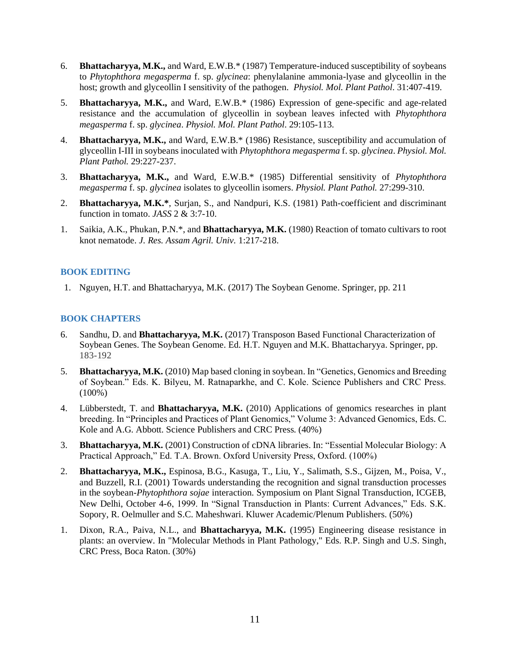- 6. **Bhattacharyya, M.K.,** and Ward, E.W.B.\* (1987) Temperature-induced susceptibility of soybeans to *Phytophthora megasperma* f. sp. *glycinea*: phenylalanine ammonia-lyase and glyceollin in the host; growth and glyceollin I sensitivity of the pathogen. *Physiol. Mol. Plant Pathol*. 31:407-419.
- 5. **Bhattacharyya, M.K.,** and Ward, E.W.B.\* (1986) Expression of gene-specific and age-related resistance and the accumulation of glyceollin in soybean leaves infected with *Phytophthora megasperma* f. sp. *glycinea*. *Physiol. Mol. Plant Pathol*. 29:105-113.
- 4. **Bhattacharyya, M.K.,** and Ward, E.W.B.\* (1986) Resistance, susceptibility and accumulation of glyceollin I-III in soybeans inoculated with *Phytophthora megasperma* f. sp. *glycinea*. *Physiol. Mol. Plant Pathol.* 29:227-237.
- 3. **Bhattacharyya, M.K.,** and Ward, E.W.B.\* (1985) Differential sensitivity of *Phytophthora megasperma* f. sp. *glycinea* isolates to glyceollin isomers. *Physiol. Plant Pathol.* 27:299-310.
- 2. **Bhattacharyya, M.K.\***, Surjan, S., and Nandpuri, K.S. (1981) Path-coefficient and discriminant function in tomato. *JASS* 2 & 3:7-10.
- 1. Saikia, A.K., Phukan, P.N.\*, and **Bhattacharyya, M.K.** (1980) Reaction of tomato cultivars to root knot nematode. *J. Res. Assam Agril. Univ.* 1:217-218.

#### **BOOK EDITING**

1. Nguyen, H.T. and Bhattacharyya, M.K. (2017) The Soybean Genome. Springer, pp. 211

#### **BOOK CHAPTERS**

- 6. Sandhu, D. and **Bhattacharyya, M.K.** (2017) Transposon Based Functional Characterization of Soybean Genes. The Soybean Genome. Ed. H.T. Nguyen and M.K. Bhattacharyya. Springer, pp. 183-192
- 5. **Bhattacharyya, M.K.** (2010) Map based cloning in soybean. In "Genetics, Genomics and Breeding of Soybean." Eds. K. Bilyeu, M. Ratnaparkhe, and C. Kole. Science Publishers and CRC Press. (100%)
- 4. Lübberstedt, T. and **Bhattacharyya, M.K.** (2010) Applications of genomics researches in plant breeding. In "Principles and Practices of Plant Genomics," Volume 3: Advanced Genomics, Eds. C. Kole and A.G. Abbott. Science Publishers and CRC Press. (40%)
- 3. **Bhattacharyya, M.K.** (2001) Construction of cDNA libraries. In: "Essential Molecular Biology: A Practical Approach," Ed. T.A. Brown. Oxford University Press, Oxford. (100%)
- 2. **Bhattacharyya, M.K.,** Espinosa, B.G., Kasuga, T., Liu, Y., Salimath, S.S., Gijzen, M., Poisa, V., and Buzzell, R.I. (2001) Towards understanding the recognition and signal transduction processes in the soybean-*Phytophthora sojae* interaction. Symposium on Plant Signal Transduction, ICGEB, New Delhi, October 4-6, 1999. In "Signal Transduction in Plants: Current Advances," Eds. S.K. Sopory, R. Oelmuller and S.C. Maheshwari. Kluwer Academic/Plenum Publishers. (50%)
- 1. Dixon, R.A., Paiva, N.L., and **Bhattacharyya, M.K.** (1995) Engineering disease resistance in plants: an overview. In "Molecular Methods in Plant Pathology," Eds. R.P. Singh and U.S. Singh, CRC Press, Boca Raton. (30%)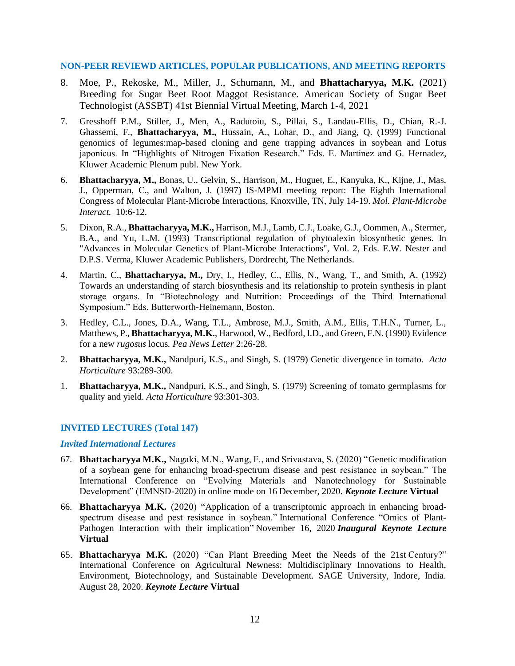#### **NON-PEER REVIEWD ARTICLES, POPULAR PUBLICATIONS, AND MEETING REPORTS**

- 8. Moe, P., Rekoske, M., Miller, J., Schumann, M., and **Bhattacharyya, M.K.** (2021) Breeding for Sugar Beet Root Maggot Resistance. American Society of Sugar Beet Technologist (ASSBT) 41st Biennial Virtual Meeting, March 1-4, 2021
- 7. Gresshoff P.M., Stiller, J., Men, A., Radutoiu, S., Pillai, S., Landau-Ellis, D., Chian, R.-J. Ghassemi, F., **Bhattacharyya, M.,** Hussain, A., Lohar, D., and Jiang, Q. (1999) Functional genomics of legumes:map-based cloning and gene trapping advances in soybean and Lotus japonicus. In "Highlights of Nitrogen Fixation Research." Eds. E. Martinez and G. Hernadez, Kluwer Academic Plenum publ. New York.
- 6. **Bhattacharyya, M.,** Bonas, U., Gelvin, S., Harrison, M., Huguet, E., Kanyuka, K., Kijne, J., Mas, J., Opperman, C., and Walton, J. (1997) IS-MPMI meeting report: The Eighth International Congress of Molecular Plant-Microbe Interactions, Knoxville, TN, July 14-19. *Mol. Plant-Microbe Interact.* 10:6-12.
- 5. Dixon, R.A., **Bhattacharyya, M.K.,** Harrison, M.J., Lamb, C.J., Loake, G.J., Oommen, A., Stermer, B.A., and Yu, L.M. (1993) Transcriptional regulation of phytoalexin biosynthetic genes. In "Advances in Molecular Genetics of Plant-Microbe Interactions", Vol. 2, Eds. E.W. Nester and D.P.S. Verma, Kluwer Academic Publishers, Dordrecht, The Netherlands.
- 4. Martin, C., **Bhattacharyya, M.,** Dry, I., Hedley, C., Ellis, N., Wang, T., and Smith, A. (1992) Towards an understanding of starch biosynthesis and its relationship to protein synthesis in plant storage organs. In "Biotechnology and Nutrition: Proceedings of the Third International Symposium," Eds. Butterworth-Heinemann, Boston.
- 3. Hedley, C.L., Jones, D.A., Wang, T.L., Ambrose, M.J., Smith, A.M., Ellis, T.H.N., Turner, L., Matthews, P., **Bhattacharyya, M.K.**, Harwood, W., Bedford, I.D., and Green, F.N. (1990) Evidence for a new *rugosus* locus*. Pea News Letter* 2:26-28.
- 2. **Bhattacharyya, M.K.,** Nandpuri, K.S., and Singh, S. (1979) Genetic divergence in tomato. *Acta Horticulture* 93:289-300.
- 1. **Bhattacharyya, M.K.,** Nandpuri, K.S., and Singh, S. (1979) Screening of tomato germplasms for quality and yield. *Acta Horticulture* 93:301-303.

## **INVITED LECTURES (Total 147)**

#### *Invited International Lectures*

- 67. **Bhattacharyya M.K.,** Nagaki, M.N., Wang, F., and Srivastava, S. (2020) "Genetic modification of a soybean gene for enhancing broad-spectrum disease and pest resistance in soybean." The International Conference on "Evolving Materials and Nanotechnology for Sustainable Development" (EMNSD-2020) in online mode on 16 December, 2020. *Keynote Lecture* **Virtual**
- 66. **Bhattacharyya M.K.** (2020) "Application of a transcriptomic approach in enhancing broadspectrum disease and pest resistance in soybean." International Conference "Omics of Plant-Pathogen Interaction with their implication" November 16, 2020 *Inaugural Keynote Lecture*  **Virtual**
- 65. **Bhattacharyya M.K.** (2020) "Can Plant Breeding Meet the Needs of the 21st Century?" International Conference on Agricultural Newness: Multidisciplinary Innovations to Health, Environment, Biotechnology, and Sustainable Development. SAGE University, Indore, India. August 28, 2020. *Keynote Lecture* **Virtual**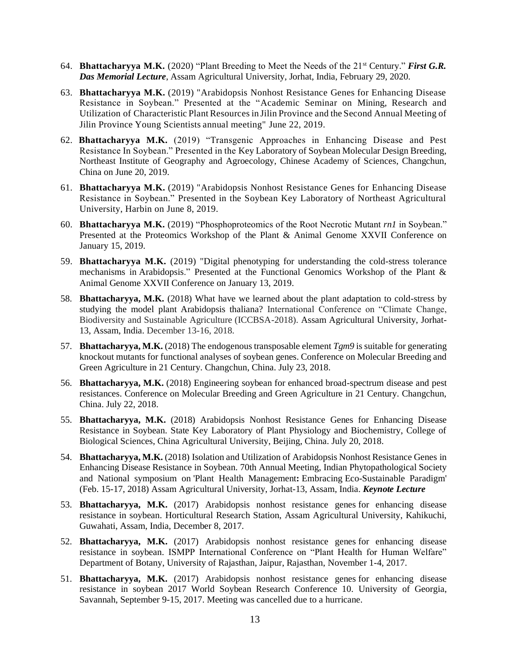- 64. **Bhattacharyya M.K.** (2020) "Plant Breeding to Meet the Needs of the 21st Century." *First G.R. Das Memorial Lecture*, Assam Agricultural University, Jorhat, India, February 29, 2020.
- 63. **Bhattacharyya M.K.** (2019) "Arabidopsis Nonhost Resistance Genes for Enhancing Disease Resistance in Soybean." Presented at the "Academic Seminar on Mining, Research and Utilization of Characteristic Plant Resourcesin Jilin Province and the Second Annual Meeting of Jilin Province Young Scientists annual meeting" June 22, 2019.
- 62. **Bhattacharyya M.K.** (2019) "Transgenic Approaches in Enhancing Disease and Pest Resistance In Soybean." Presented in the Key Laboratory of Soybean Molecular Design Breeding, Northeast Institute of Geography and Agroecology, Chinese Academy of Sciences, Changchun, China on June 20, 2019.
- 61. **Bhattacharyya M.K.** (2019) "Arabidopsis Nonhost Resistance Genes for Enhancing Disease Resistance in Soybean." Presented in the Soybean Key Laboratory of Northeast Agricultural University, Harbin on June 8, 2019.
- 60. **Bhattacharyya M.K.** (2019) "Phosphoproteomics of the Root Necrotic Mutant *rn1* in Soybean." Presented at the Proteomics Workshop of the Plant & Animal Genome XXVII Conference on January 15, 2019.
- 59. **Bhattacharyya M.K.** (2019) "Digital phenotyping for understanding the cold-stress tolerance mechanisms in Arabidopsis." Presented at the Functional Genomics Workshop of the Plant & Animal Genome XXVII Conference on January 13, 2019.
- 58. **Bhattacharyya, M.K.** (2018) What have we learned about the plant adaptation to cold-stress by studying the model plant Arabidopsis thaliana? International Conference on "Climate Change, Biodiversity and Sustainable Agriculture (ICCBSA-2018). Assam Agricultural University, Jorhat-13, Assam, India. December 13-16, 2018.
- 57. **Bhattacharyya, M.K.** (2018) The endogenous transposable element *Tgm9* is suitable for generating knockout mutants for functional analyses of soybean genes. Conference on Molecular Breeding and Green Agriculture in 21 Century. Changchun, China. July 23, 2018.
- 56. **Bhattacharyya, M.K.** (2018) Engineering soybean for enhanced broad-spectrum disease and pest resistances. Conference on Molecular Breeding and Green Agriculture in 21 Century. Changchun, China. July 22, 2018.
- 55. **Bhattacharyya, M.K.** (2018) Arabidopsis Nonhost Resistance Genes for Enhancing Disease Resistance in Soybean. State Key Laboratory of Plant Physiology and Biochemistry, College of Biological Sciences, China Agricultural University, Beijing, China. July 20, 2018.
- 54. **Bhattacharyya, M.K.** (2018) Isolation and Utilization of Arabidopsis Nonhost Resistance Genes in Enhancing Disease Resistance in Soybean. 70th Annual Meeting, Indian Phytopathological Society and National symposium on 'Plant Health Management**:** Embracing Eco-Sustainable Paradigm' (Feb. 15-17, 2018) Assam Agricultural University, Jorhat-13, Assam, India. *Keynote Lecture*
- 53. **Bhattacharyya, M.K.** (2017) Arabidopsis nonhost resistance genes for enhancing disease resistance in soybean. Horticultural Research Station, Assam Agricultural University, Kahikuchi, Guwahati, Assam, India, December 8, 2017.
- 52. **Bhattacharyya, M.K.** (2017) Arabidopsis nonhost resistance genes for enhancing disease resistance in soybean. ISMPP International Conference on "Plant Health for Human Welfare" Department of Botany, University of Rajasthan, Jaipur, Rajasthan, November 1-4, 2017.
- 51. **Bhattacharyya, M.K.** (2017) Arabidopsis nonhost resistance genes for enhancing disease resistance in soybean 2017 World Soybean Research Conference 10. University of Georgia, Savannah, September 9-15, 2017. Meeting was cancelled due to a hurricane.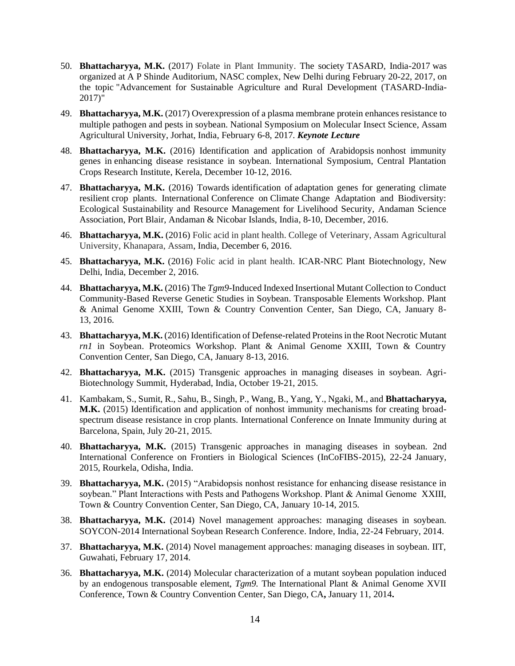- 50. **Bhattacharyya, M.K.** (2017) Folate in Plant Immunity. The society TASARD, India-2017 was organized at A P Shinde Auditorium, NASC complex, New Delhi during February 20-22, 2017, on the topic "Advancement for Sustainable Agriculture and Rural Development (TASARD-India-2017)"
- 49. **Bhattacharyya, M.K.** (2017) Overexpression of a plasma membrane protein enhances resistance to multiple pathogen and pests in soybean. National Symposium on Molecular Insect Science, Assam Agricultural University, Jorhat, India, February 6-8, 2017. *Keynote Lecture*
- 48. **Bhattacharyya, M.K.** (2016) Identification and application of Arabidopsis nonhost immunity genes in enhancing disease resistance in soybean. International Symposium, Central Plantation Crops Research Institute, Kerela, December 10-12, 2016.
- 47. **Bhattacharyya, M.K.** (2016) Towards identification of adaptation genes for generating climate resilient crop plants. International Conference on Climate Change Adaptation and Biodiversity: Ecological Sustainability and Resource Management for Livelihood Security, Andaman Science Association, Port Blair, Andaman & Nicobar Islands, India, 8-10, December, 2016.
- 46. **Bhattacharyya, M.K.** (2016) Folic acid in plant health. College of Veterinary, Assam Agricultural University, Khanapara, Assam, India, December 6, 2016.
- 45. **Bhattacharyya, M.K.** (2016) Folic acid in plant health. ICAR-NRC Plant Biotechnology, New Delhi, India, December 2, 2016.
- 44. **Bhattacharyya, M.K.** (2016) The *Tgm9*-Induced Indexed Insertional Mutant Collection to Conduct Community-Based Reverse Genetic Studies in Soybean. Transposable Elements Workshop. Plant & Animal Genome XXIII, Town & Country Convention Center, San Diego, CA, January 8- 13, 2016.
- 43. **Bhattacharyya, M.K.** (2016) [Identification of Defense-related Proteins in the Root Necrotic Mutant](https://pag.confex.com/pag/xxiv/webprogram/Paper21979.html) *rn1* [in Soybean.](https://pag.confex.com/pag/xxiv/webprogram/Paper21979.html) Proteomics Workshop. Plant & Animal Genome XXIII, Town & Country Convention Center, San Diego, CA, January 8-13, 2016.
- 42. **Bhattacharyya, M.K.** (2015) Transgenic approaches in managing diseases in soybean. Agri-Biotechnology Summit, Hyderabad, India, October 19-21, 2015.
- 41. Kambakam, S., Sumit, R., Sahu, B., Singh, P., Wang, B., Yang, Y., Ngaki, M., and **Bhattacharyya, M.K.** (2015) Identification and application of nonhost immunity mechanisms for creating broadspectrum disease resistance in crop plants. International Conference on Innate Immunity during at Barcelona, Spain, July 20-21, 2015.
- 40. **Bhattacharyya, M.K.** (2015) Transgenic approaches in managing diseases in soybean. 2nd International Conference on Frontiers in Biological Sciences (InCoFIBS-2015), 22-24 January, 2015, Rourkela, Odisha, India.
- 39. **Bhattacharyya, M.K.** (2015) "Arabidopsis nonhost resistance for enhancing disease resistance in soybean." Plant Interactions with Pests and Pathogens Workshop. Plant & Animal Genome XXIII, Town & Country Convention Center, San Diego, CA, January 10-14, 2015*.*
- 38. **Bhattacharyya, M.K.** (2014) Novel management approaches: managing diseases in soybean. SOYCON-2014 International Soybean Research Conference. Indore, India, 22-24 February, 2014.
- 37. **Bhattacharyya, M.K.** (2014) Novel management approaches: managing diseases in soybean. IIT, Guwahati, February 17, 2014.
- 36. **Bhattacharyya, M.K.** (2014) Molecular characterization of a mutant soybean population induced by an endogenous transposable element, *Tgm9.* The International Plant & Animal Genome XVII Conference, Town & Country Convention Center, San Diego, CA**,** January 11, 2014**.**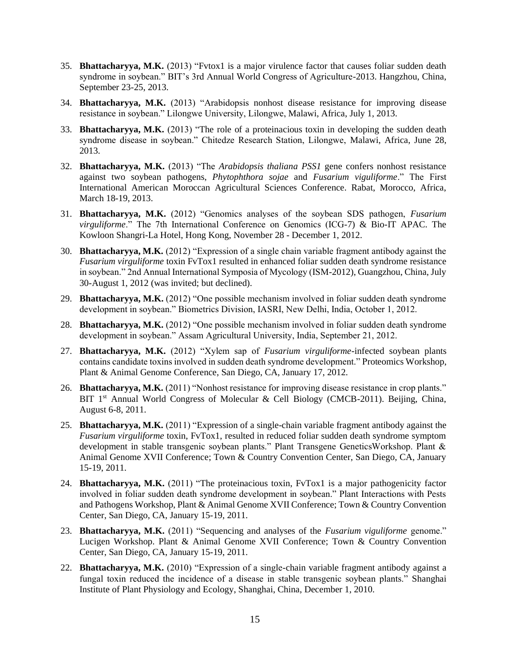- 35. **Bhattacharyya, M.K.** (2013) "Fvtox1 is a major virulence factor that causes foliar sudden death syndrome in soybean." BIT's 3rd Annual World Congress of Agriculture-2013. Hangzhou, China, September 23-25, 2013.
- 34. **Bhattacharyya, M.K.** (2013) "Arabidopsis nonhost disease resistance for improving disease resistance in soybean." Lilongwe University, Lilongwe, Malawi, Africa, July 1, 2013.
- 33. **Bhattacharyya, M.K.** (2013) "The role of a proteinacious toxin in developing the sudden death syndrome disease in soybean." Chitedze Research Station, Lilongwe, Malawi, Africa, June 28, 2013.
- 32. **Bhattacharyya, M.K.** (2013) "The *Arabidopsis thaliana PSS1* gene confers nonhost resistance against two soybean pathogens, *Phytophthora sojae* and *Fusarium viguliforme*." The First International American Moroccan Agricultural Sciences Conference. Rabat, Morocco, Africa, March 18-19, 2013.
- 31. **Bhattacharyya, M.K.** (2012) "Genomics analyses of the soybean SDS pathogen, *Fusarium virguliforme*." The 7th International Conference on Genomics (ICG-7) & Bio-IT APAC. The Kowloon Shangri-La Hotel, Hong Kong, November 28 - December 1, 2012.
- 30. **Bhattacharyya, M.K.** (2012) "Expression of a single chain variable fragment antibody against the *Fusarium virguliforme* toxin FvTox1 resulted in enhanced foliar sudden death syndrome resistance in soybean." 2nd Annual International Symposia of Mycology (ISM-2012), Guangzhou, China, July 30-August 1, 2012 (was invited; but declined).
- 29. **Bhattacharyya, M.K.** (2012) "One possible mechanism involved in foliar sudden death syndrome development in soybean." Biometrics Division, IASRI, New Delhi, India, October 1, 2012.
- 28. **Bhattacharyya, M.K.** (2012) "One possible mechanism involved in foliar sudden death syndrome development in soybean." Assam Agricultural University, India, September 21, 2012.
- 27. **Bhattacharyya, M.K.** (2012) "Xylem sap of *Fusarium virguliforme*-infected soybean plants contains candidate toxins involved in sudden death syndrome development." Proteomics Workshop, Plant & Animal Genome Conference, San Diego, CA, January 17, 2012.
- 26. **Bhattacharyya, M.K.** (2011) "Nonhost resistance for improving disease resistance in crop plants." BIT 1<sup>st</sup> Annual World Congress of Molecular & Cell Biology (CMCB-2011). Beijing, China, August 6-8, 2011.
- 25. **Bhattacharyya, M.K.** (2011) "Expression of a single-chain variable fragment antibody against the *Fusarium virguliforme* toxin, FvTox1, resulted in reduced foliar sudden death syndrome symptom development in stable transgenic soybean plants." Plant Transgene GeneticsWorkshop. Plant & Animal Genome XVII Conference; Town & Country Convention Center, San Diego, CA, January 15-19, 2011.
- 24. **Bhattacharyya, M.K.** (2011) "The proteinacious toxin, FvTox1 is a major pathogenicity factor involved in foliar sudden death syndrome development in soybean." Plant Interactions with Pests and Pathogens Workshop, Plant & Animal Genome XVII Conference; Town & Country Convention Center, San Diego, CA, January 15-19, 2011.
- 23. **Bhattacharyya, M.K.** (2011) "Sequencing and analyses of the *Fusarium viguliforme* genome." Lucigen Workshop. Plant & Animal Genome XVII Conference; Town & Country Convention Center, San Diego, CA, January 15-19, 2011.
- 22. **Bhattacharyya, M.K.** (2010) "Expression of a single-chain variable fragment antibody against a fungal toxin reduced the incidence of a disease in stable transgenic soybean plants." Shanghai Institute of Plant Physiology and Ecology, Shanghai, China, December 1, 2010.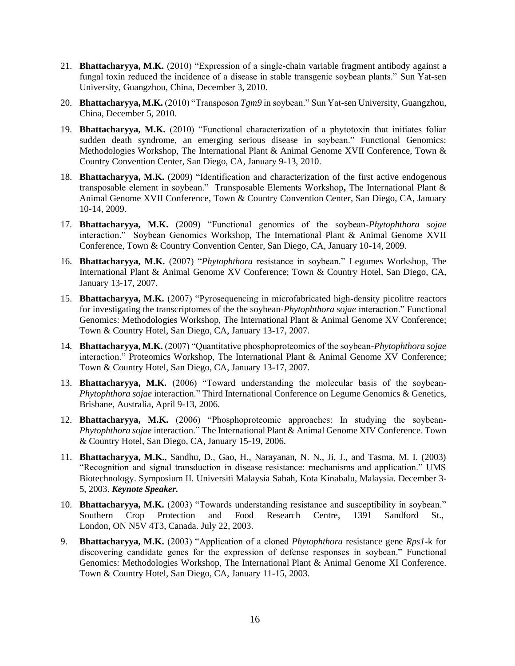- 21. **Bhattacharyya, M.K.** (2010) "Expression of a single-chain variable fragment antibody against a fungal toxin reduced the incidence of a disease in stable transgenic soybean plants." Sun Yat-sen University, Guangzhou, China, December 3, 2010.
- 20. **Bhattacharyya, M.K.** (2010) "Transposon *Tgm9* in soybean." Sun Yat-sen University, Guangzhou, China, December 5, 2010.
- 19. **Bhattacharyya, M.K.** (2010) "Functional characterization of a phytotoxin that initiates foliar sudden death syndrome, an emerging serious disease in soybean." Functional Genomics: Methodologies Workshop, The International Plant & Animal Genome XVII Conference, Town & Country Convention Center, San Diego, CA, January 9-13, 2010.
- 18. **Bhattacharyya, M.K.** (2009) "Identification and characterization of the first active endogenous transposable element in soybean." Transposable Elements Workshop**,** The International Plant & Animal Genome XVII Conference, Town & Country Convention Center, San Diego, CA, January 10-14, 2009.
- 17. **Bhattacharyya, M.K.** (2009) "Functional genomics of the soybean-*Phytophthora sojae* interaction." Soybean Genomics Workshop, The International Plant & Animal Genome XVII Conference, Town & Country Convention Center, San Diego, CA, January 10-14, 2009.
- 16. **Bhattacharyya, M.K.** (2007) "*Phytophthora* resistance in soybean." Legumes Workshop, The International Plant & Animal Genome XV Conference; Town & Country Hotel, San Diego, CA, January 13-17, 2007.
- 15. **Bhattacharyya, M.K.** (2007) "Pyrosequencing in microfabricated high-density picolitre reactors for investigating the transcriptomes of the the soybean-*Phytophthora sojae* interaction." Functional Genomics: Methodologies Workshop, The International Plant & Animal Genome XV Conference; Town & Country Hotel, San Diego, CA, January 13-17, 2007.
- 14. **Bhattacharyya, M.K.** (2007) "Quantitative phosphoproteomics of the soybean-*Phytophthora sojae* interaction." Proteomics Workshop, The International Plant & Animal Genome XV Conference; Town & Country Hotel, San Diego, CA, January 13-17, 2007.
- 13. **Bhattacharyya, M.K.** (2006) "Toward understanding the molecular basis of the soybean-*Phytophthora sojae* interaction." Third International Conference on Legume Genomics & Genetics, Brisbane, Australia, April 9-13, 2006.
- 12. **Bhattacharyya, M.K.** (2006) "Phosphoproteomic approaches: In studying the soybean-*Phytophthora sojae* interaction." The International Plant & Animal Genome XIV Conference. Town & Country Hotel, San Diego, CA, January 15-19, 2006.
- 11. **Bhattacharyya, M.K.**, Sandhu, D., Gao, H., Narayanan, N. N., Ji, J., and Tasma, M. I. (2003) "Recognition and signal transduction in disease resistance: mechanisms and application." UMS Biotechnology. Symposium II. Universiti Malaysia Sabah, Kota Kinabalu, Malaysia. December 3- 5, 2003. *Keynote Speaker.*
- 10. **Bhattacharyya, M.K.** (2003) "Towards understanding resistance and susceptibility in soybean." Southern Crop Protection and Food Research Centre, 1391 Sandford St., London, ON N5V 4T3, Canada. July 22, 2003.
- 9. **Bhattacharyya, M.K.** (2003) "Application of a cloned *Phytophthora* resistance gene *Rps1*-k for discovering candidate genes for the expression of defense responses in soybean." Functional Genomics: Methodologies Workshop, The International Plant & Animal Genome XI Conference. Town & Country Hotel, San Diego, CA, January 11-15, 2003.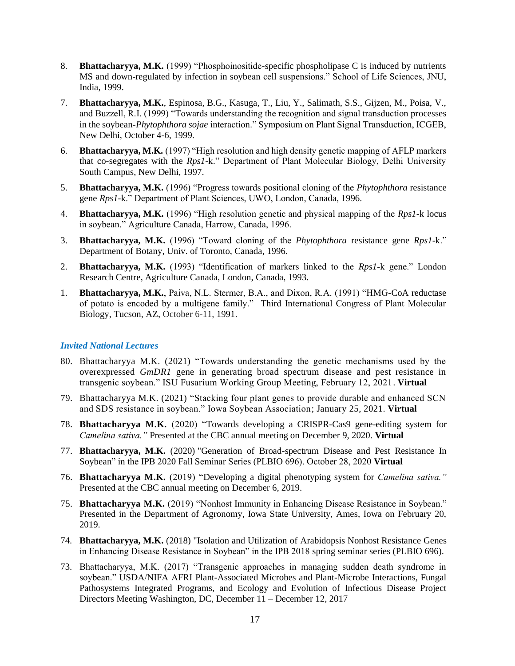- 8. **Bhattacharyya, M.K.** (1999) "Phosphoinositide-specific phospholipase C is induced by nutrients MS and down-regulated by infection in soybean cell suspensions." School of Life Sciences, JNU, India, 1999.
- 7. **Bhattacharyya, M.K.**, Espinosa, B.G., Kasuga, T., Liu, Y., Salimath, S.S., Gijzen, M., Poisa, V., and Buzzell, R.I. (1999) "Towards understanding the recognition and signal transduction processes in the soybean-*Phytophthora sojae* interaction." Symposium on Plant Signal Transduction, ICGEB, New Delhi, October 4-6, 1999.
- 6. **Bhattacharyya, M.K.** (1997) "High resolution and high density genetic mapping of AFLP markers that co-segregates with the *Rps1*-k." Department of Plant Molecular Biology, Delhi University South Campus, New Delhi, 1997.
- 5. **Bhattacharyya, M.K.** (1996) "Progress towards positional cloning of the *Phytophthora* resistance gene *Rps1*-k." Department of Plant Sciences, UWO, London, Canada, 1996.
- 4. **Bhattacharyya, M.K.** (1996) "High resolution genetic and physical mapping of the *Rps1-*k locus in soybean." Agriculture Canada, Harrow, Canada, 1996.
- 3. **Bhattacharyya, M.K.** (1996) "Toward cloning of the *Phytophthora* resistance gene *Rps1*-k." Department of Botany, Univ. of Toronto, Canada, 1996.
- 2. **Bhattacharyya, M.K.** (1993) "Identification of markers linked to the *Rps1-*k gene." London Research Centre, Agriculture Canada, London, Canada, 1993.
- 1. **Bhattacharyya, M.K.**, Paiva, N.L. Stermer, B.A., and Dixon, R.A. (1991) "HMG-CoA reductase of potato is encoded by a multigene family." Third International Congress of Plant Molecular Biology, Tucson, AZ, October 6-11, 1991.

#### *Invited National Lectures*

- 80. Bhattacharyya M.K. (2021) "Towards understanding the genetic mechanisms used by the overexpressed *GmDR1* gene in generating broad spectrum disease and pest resistance in transgenic soybean." ISU Fusarium Working Group Meeting, February 12, 2021. **Virtual**
- 79. Bhattacharyya M.K. (2021) "Stacking four plant genes to provide durable and enhanced SCN and SDS resistance in soybean." Iowa Soybean Association; January 25, 2021. **Virtual**
- 78. **Bhattacharyya M.K.** (2020) "Towards developing a CRISPR-Cas9 gene-editing system for *Camelina sativa."* Presented at the CBC annual meeting on December 9, 2020. **Virtual**
- 77. **Bhattacharyya, M.K.** (2020) "Generation of Broad-spectrum Disease and Pest Resistance In Soybean" in the IPB 2020 Fall Seminar Series (PLBIO 696). October 28, 2020 **Virtual**
- 76. **Bhattacharyya M.K.** (2019) "Developing a digital phenotyping system for *Camelina sativa."*  Presented at the CBC annual meeting on December 6, 2019.
- 75. **Bhattacharyya M.K.** (2019) "Nonhost Immunity in Enhancing Disease Resistance in Soybean." Presented in the Department of Agronomy, Iowa State University, Ames, Iowa on February 20, 2019.
- 74. **Bhattacharyya, M.K.** (2018) "Isolation and Utilization of Arabidopsis Nonhost Resistance Genes in Enhancing Disease Resistance in Soybean" in the IPB 2018 spring seminar series (PLBIO 696).
- 73. Bhattacharyya, M.K. (2017) "Transgenic approaches in managing sudden death syndrome in soybean." USDA/NIFA AFRI Plant-Associated Microbes and Plant-Microbe Interactions, Fungal Pathosystems Integrated Programs, and Ecology and Evolution of Infectious Disease Project Directors Meeting Washington, DC, December 11 – December 12, 2017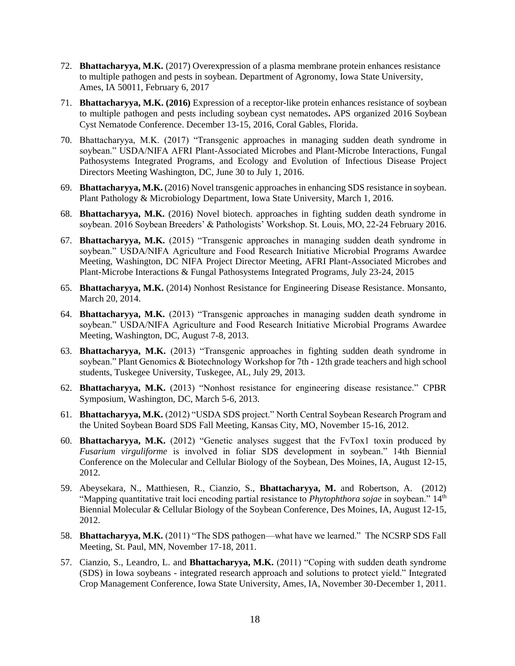- 72. **Bhattacharyya, M.K.** (2017) Overexpression of a plasma membrane protein enhances resistance to multiple pathogen and pests in soybean. Department of Agronomy, Iowa State University, Ames, IA 50011, February 6, 2017
- 71. **Bhattacharyya, M.K. (2016)** Expression of a receptor-like protein enhances resistance of soybean to multiple pathogen and pests including soybean cyst nematodes**.** APS organized 2016 Soybean Cyst Nematode Conference. December 13-15, 2016, Coral Gables, Florida.
- 70. Bhattacharyya, M.K. (2017) "Transgenic approaches in managing sudden death syndrome in soybean." USDA/NIFA AFRI Plant-Associated Microbes and Plant-Microbe Interactions, Fungal Pathosystems Integrated Programs, and Ecology and Evolution of Infectious Disease Project Directors Meeting Washington, DC, June 30 to July 1, 2016.
- 69. **Bhattacharyya, M.K.** (2016) Novel transgenic approaches in enhancing SDS resistance in soybean. Plant Pathology & Microbiology Department, Iowa State University, March 1, 2016.
- 68. **Bhattacharyya, M.K.** (2016) Novel biotech. approaches in fighting sudden death syndrome in soybean. 2016 Soybean Breeders' & Pathologists' Workshop. St. Louis, MO, 22-24 February 2016.
- 67. **Bhattacharyya, M.K.** (2015) "Transgenic approaches in managing sudden death syndrome in soybean." USDA/NIFA Agriculture and Food Research Initiative Microbial Programs Awardee Meeting, Washington, DC NIFA Project Director Meeting, AFRI Plant-Associated Microbes and Plant-Microbe Interactions & Fungal Pathosystems Integrated Programs, July 23-24, 2015
- 65. **Bhattacharyya, M.K.** (2014) Nonhost Resistance for Engineering Disease Resistance. Monsanto, March 20, 2014.
- 64. **Bhattacharyya, M.K.** (2013) "Transgenic approaches in managing sudden death syndrome in soybean." USDA/NIFA Agriculture and Food Research Initiative Microbial Programs Awardee Meeting, Washington, DC, August 7-8, 2013.
- 63. **Bhattacharyya, M.K.** (2013) "Transgenic approaches in fighting sudden death syndrome in soybean." Plant Genomics & Biotechnology Workshop for 7th - 12th grade teachers and high school students, Tuskegee University, Tuskegee, AL, July 29, 2013.
- 62. **Bhattacharyya, M.K.** (2013) "Nonhost resistance for engineering disease resistance." CPBR Symposium, Washington, DC, March 5-6, 2013.
- 61. **Bhattacharyya, M.K.** (2012) "USDA SDS project." North Central Soybean Research Program and the United Soybean Board SDS Fall Meeting, Kansas City, MO, November 15-16, 2012.
- 60. **Bhattacharyya, M.K.** (2012) "Genetic analyses suggest that the FvTox1 toxin produced by *Fusarium virguliforme* is involved in foliar SDS development in soybean." 14th Biennial Conference on the Molecular and Cellular Biology of the Soybean, Des Moines, IA, August 12-15, 2012.
- 59. Abeysekara, N., Matthiesen, R., Cianzio, S., **Bhattacharyya, M.** and Robertson, A. (2012) "Mapping quantitative trait loci encoding partial resistance to *Phytophthora sojae* in soybean." 14th Biennial Molecular & Cellular Biology of the Soybean Conference, Des Moines, IA, August 12-15, 2012.
- 58. **Bhattacharyya, M.K.** (2011) "The SDS pathogen—what have we learned." The NCSRP SDS Fall Meeting, St. Paul, MN, November 17-18, 2011.
- 57. Cianzio, S., Leandro, L. and **Bhattacharyya, M.K.** (2011) "Coping with sudden death syndrome (SDS) in Iowa soybeans - integrated research approach and solutions to protect yield." Integrated Crop Management Conference, Iowa State University, Ames, IA, November 30-December 1, 2011.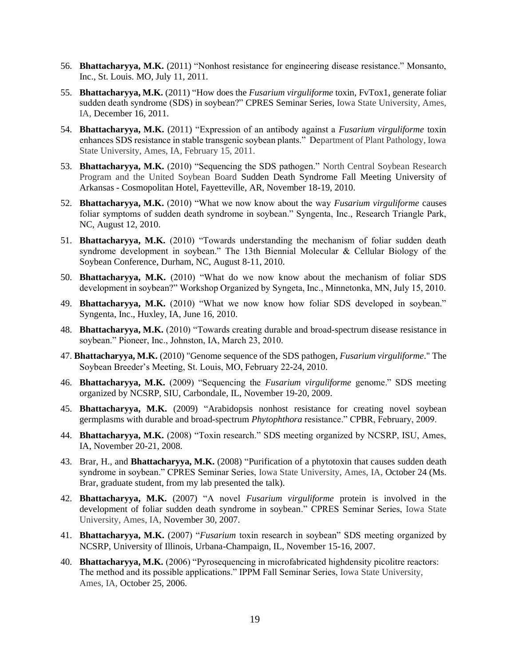- 56. **Bhattacharyya, M.K.** (2011) "Nonhost resistance for engineering disease resistance." Monsanto, Inc., St. Louis. MO, July 11, 2011.
- 55. **Bhattacharyya, M.K.** (2011) "How does the *Fusarium virguliforme* toxin, FvTox1, generate foliar sudden death syndrome (SDS) in soybean?" CPRES Seminar Series, Iowa State University, Ames, IA, December 16, 2011.
- 54. **Bhattacharyya, M.K.** (2011) "Expression of an antibody against a *Fusarium virguliforme* toxin enhances SDS resistance in stable transgenic soybean plants." Department of Plant Pathology, Iowa State University, Ames, IA, February 15, 2011.
- 53. **Bhattacharyya, M.K.** (2010) "Sequencing the SDS pathogen." North Central Soybean Research Program and the United Soybean Board Sudden Death Syndrome Fall Meeting University of Arkansas - Cosmopolitan Hotel, Fayetteville, AR, November 18-19, 2010.
- 52. **Bhattacharyya, M.K.** (2010) "What we now know about the way *Fusarium virguliforme* causes foliar symptoms of sudden death syndrome in soybean." Syngenta, Inc., Research Triangle Park, NC, August 12, 2010.
- 51. **Bhattacharyya, M.K.** (2010) "Towards understanding the mechanism of foliar sudden death syndrome development in soybean." The 13th Biennial Molecular & Cellular Biology of the Soybean Conference, Durham, NC, August 8-11, 2010.
- 50. **Bhattacharyya, M.K.** (2010) "What do we now know about the mechanism of foliar SDS development in soybean?" Workshop Organized by Syngeta, Inc., Minnetonka, MN, July 15, 2010.
- 49. **Bhattacharyya, M.K.** (2010) "What we now know how foliar SDS developed in soybean." Syngenta, Inc., Huxley, IA, June 16, 2010.
- 48. **Bhattacharyya, M.K.** (2010) "Towards creating durable and broad-spectrum disease resistance in soybean." Pioneer, Inc., Johnston, IA, March 23, 2010.
- 47. **Bhattacharyya, M.K.** (2010) "Genome sequence of the SDS pathogen, *Fusarium virguliforme*." The Soybean Breeder's Meeting, St. Louis, MO, February 22-24, 2010.
- 46. **Bhattacharyya, M.K.** (2009) "Sequencing the *Fusarium virguliforme* genome." SDS meeting organized by NCSRP, SIU, Carbondale, IL, November 19-20, 2009.
- 45. **Bhattacharyya, M.K.** (2009) "Arabidopsis nonhost resistance for creating novel soybean germplasms with durable and broad-spectrum *Phytophthora* resistance." CPBR, February, 2009.
- 44. **Bhattacharyya, M.K.** (2008) "Toxin research." SDS meeting organized by NCSRP, ISU, Ames, IA, November 20-21, 2008.
- 43. Brar, H., and **Bhattacharyya, M.K.** (2008) "Purification of a phytotoxin that causes sudden death syndrome in soybean." CPRES Seminar Series, Iowa State University, Ames, IA, October 24 (Ms. Brar, graduate student, from my lab presented the talk).
- 42. **Bhattacharyya, M.K.** (2007) "A novel *Fusarium virguliforme* protein is involved in the development of foliar sudden death syndrome in soybean." CPRES Seminar Series, Iowa State University, Ames, IA, November 30, 2007.
- 41. **Bhattacharyya, M.K.** (2007) "*Fusarium* toxin research in soybean" SDS meeting organized by NCSRP, University of Illinois, Urbana-Champaign, IL, November 15-16, 2007.
- 40. **Bhattacharyya, M.K.** (2006) "Pyrosequencing in microfabricated highdensity picolitre reactors: The method and its possible applications." IPPM Fall Seminar Series, Iowa State University, Ames, IA, October 25, 2006.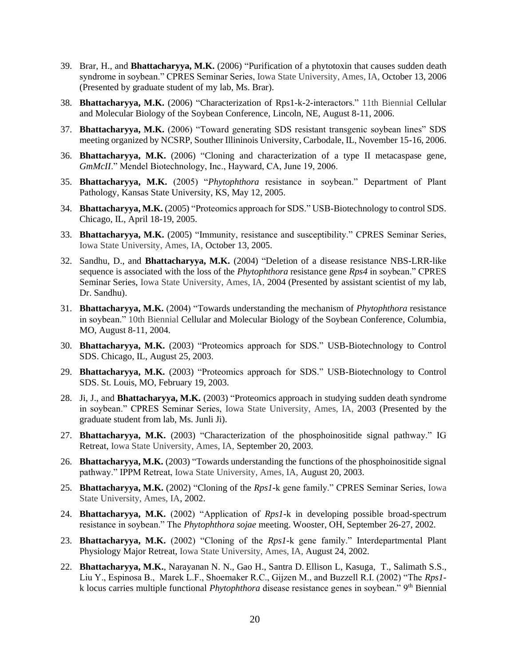- 39. Brar, H., and **Bhattacharyya, M.K.** (2006) "Purification of a phytotoxin that causes sudden death syndrome in soybean." CPRES Seminar Series, Iowa State University, Ames, IA, October 13, 2006 (Presented by graduate student of my lab, Ms. Brar).
- 38. **Bhattacharyya, M.K.** (2006) "Characterization of Rps1-k-2-interactors." 11th Biennial Cellular and Molecular Biology of the Soybean Conference, Lincoln, NE, August 8-11, 2006.
- 37. **Bhattacharyya, M.K.** (2006) "Toward generating SDS resistant transgenic soybean lines" SDS meeting organized by NCSRP, Souther Illininois University, Carbodale, IL, November 15-16, 2006.
- 36. **Bhattacharyya, M.K.** (2006) "Cloning and characterization of a type II metacaspase gene, *GmMcII*." Mendel Biotechnology, Inc., Hayward, CA, June 19, 2006.
- 35. **Bhattacharyya, M.K.** (2005) "*Phytophthora* resistance in soybean." Department of Plant Pathology, Kansas State University, KS, May 12, 2005.
- 34. **Bhattacharyya, M.K.** (2005) "Proteomics approach for SDS." USB-Biotechnology to control SDS. Chicago, IL, April 18-19, 2005.
- 33. **Bhattacharyya, M.K.** (2005) "Immunity, resistance and susceptibility." CPRES Seminar Series, Iowa State University, Ames, IA, October 13, 2005.
- 32. Sandhu, D., and **Bhattacharyya, M.K.** (2004) "Deletion of a disease resistance NBS-LRR-like sequence is associated with the loss of the *Phytophthora* resistance gene *Rps4* in soybean." CPRES Seminar Series, Iowa State University, Ames, IA, 2004 (Presented by assistant scientist of my lab, Dr. Sandhu).
- 31. **Bhattacharyya, M.K.** (2004) "Towards understanding the mechanism of *Phytophthora* resistance in soybean." 10th Biennial Cellular and Molecular Biology of the Soybean Conference, Columbia, MO, August 8-11, 2004.
- 30. **Bhattacharyya, M.K.** (2003) "Proteomics approach for SDS." USB-Biotechnology to Control SDS. Chicago, IL, August 25, 2003.
- 29. **Bhattacharyya, M.K.** (2003) "Proteomics approach for SDS." USB-Biotechnology to Control SDS. St. Louis, MO, February 19, 2003.
- 28. Ji, J., and **Bhattacharyya, M.K.** (2003) "Proteomics approach in studying sudden death syndrome in soybean." CPRES Seminar Series, Iowa State University, Ames, IA, 2003 (Presented by the graduate student from lab, Ms. Junli Ji).
- 27. **Bhattacharyya, M.K.** (2003) "Characterization of the phosphoinositide signal pathway." IG Retreat, Iowa State University, Ames, IA, September 20, 2003.
- 26. **Bhattacharyya, M.K.** (2003) "Towards understanding the functions of the phosphoinositide signal pathway." IPPM Retreat, Iowa State University, Ames, IA, August 20, 2003.
- 25. **Bhattacharyya, M.K.** (2002) "Cloning of the *Rps1*-k gene family." CPRES Seminar Series, Iowa State University, Ames, IA, 2002.
- 24. **Bhattacharyya, M.K.** (2002) "Application of *Rps1*-k in developing possible broad-spectrum resistance in soybean." The *Phytophthora sojae* meeting. Wooster, OH, September 26-27, 2002.
- 23. **Bhattacharyya, M.K.** (2002) "Cloning of the *Rps1*-k gene family." Interdepartmental [Plant](http://www.grad-college.iastate.edu/ippm/ippmhomepage.html)  [Physiology](http://www.grad-college.iastate.edu/ippm/ippmhomepage.html) Major Retreat, Iowa State University, Ames, IA, August 24, 2002.
- 22. **Bhattacharyya, M.K.**, Narayanan N. N., Gao H., Santra D. Ellison L, Kasuga, T., Salimath S.S., Liu Y., Espinosa B., Marek L.F., Shoemaker R.C., Gijzen M., and Buzzell R.I. (2002) "The *Rps1* k locus carries multiple functional *Phytophthora* disease resistance genes in soybean." 9th Biennial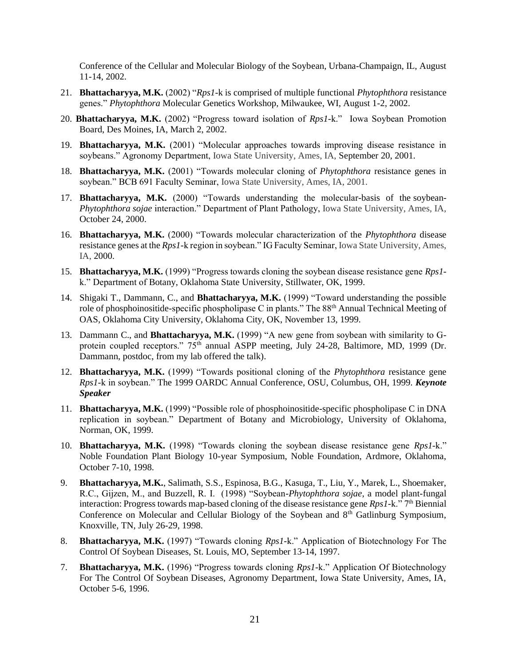Conference of the Cellular and Molecular Biology of the Soybean, Urbana-Champaign, IL, August 11-14, 2002.

- 21. **Bhattacharyya, M.K.** (2002) "*Rps1-*k is comprised of multiple functional *Phytophthora* resistance genes." *Phytophthora* Molecular Genetics Workshop, Milwaukee, WI, August 1-2, 2002.
- 20. **Bhattacharyya, M.K.** (2002) "Progress toward isolation of *Rps1*-k." Iowa Soybean Promotion Board, Des Moines, IA, March 2, 2002.
- 19. **Bhattacharyya, M.K.** (2001) "Molecular approaches towards improving disease resistance in soybeans." Agronomy Department, Iowa State University, Ames, IA, September 20, 2001.
- 18. **Bhattacharyya, M.K.** (2001) "Towards molecular cloning of *Phytophthora* resistance genes in soybean." BCB 691 Faculty Seminar, Iowa State University, Ames, IA, 2001.
- 17. **Bhattacharyya, M.K.** (2000) "Towards understanding the molecular-basis of the soybean-*Phytophthora sojae* interaction." Department of Plant Pathology, Iowa State University, Ames, IA, October 24, 2000.
- 16. **Bhattacharyya, M.K.** (2000) "Towards molecular characterization of the *Phytophthora* disease resistance genes at the *Rps1*-k region in soybean." IG Faculty Seminar, Iowa State University, Ames, IA, 2000.
- 15. **Bhattacharyya, M.K.** (1999) "Progress towards cloning the soybean disease resistance gene *Rps1* k." Department of Botany, Oklahoma State University, Stillwater, OK, 1999.
- 14. Shigaki T., Dammann, C., and **Bhattacharyya, M.K.** (1999) "Toward understanding the possible role of phosphoinositide-specific phospholipase C in plants." The 88<sup>th</sup> Annual Technical Meeting of OAS, Oklahoma City University, Oklahoma City, OK, November 13, 1999.
- 13. Dammann C., and **Bhattacharyya, M.K.** (1999) "A new gene from soybean with similarity to Gprotein coupled receptors." 75<sup>th</sup> annual ASPP meeting, July 24-28, Baltimore, MD, 1999 (Dr. Dammann, postdoc, from my lab offered the talk).
- 12. **Bhattacharyya, M.K.** (1999) "Towards positional cloning of the *Phytophthora* resistance gene *Rps1*-k in soybean." The 1999 OARDC Annual Conference, OSU, Columbus, OH, 1999. *Keynote Speaker*
- 11. **Bhattacharyya, M.K.** (1999) "Possible role of phosphoinositide-specific phospholipase C in DNA replication in soybean." Department of Botany and Microbiology, University of Oklahoma, Norman, OK, 1999.
- 10. **Bhattacharyya, M.K.** (1998) "Towards cloning the soybean disease resistance gene *Rps1*-k." Noble Foundation Plant Biology 10-year Symposium, Noble Foundation, Ardmore, Oklahoma, October 7-10, 1998.
- 9. **Bhattacharyya, M.K.**, Salimath, S.S., Espinosa, B.G., Kasuga, T., Liu, Y., Marek, L., Shoemaker, R.C., Gijzen, M., and Buzzell, R. I. (1998) "Soybean-*Phytophthora sojae*, a model plant-fungal interaction: Progress towards map-based cloning of the disease resistance gene *Rps1*-k." 7<sup>th</sup> Biennial Conference on Molecular and Cellular Biology of the Soybean and 8<sup>th</sup> Gatlinburg Symposium, Knoxville, TN, July 26-29, 1998.
- 8. **Bhattacharyya, M.K.** (1997) "Towards cloning *Rps1*-k." Application of Biotechnology For The Control Of Soybean Diseases, St. Louis, MO, September 13-14, 1997.
- 7. **Bhattacharyya, M.K.** (1996) "Progress towards cloning *Rps1*-k." Application Of Biotechnology For The Control Of Soybean Diseases, Agronomy Department, Iowa State University, Ames, IA, October 5-6, 1996.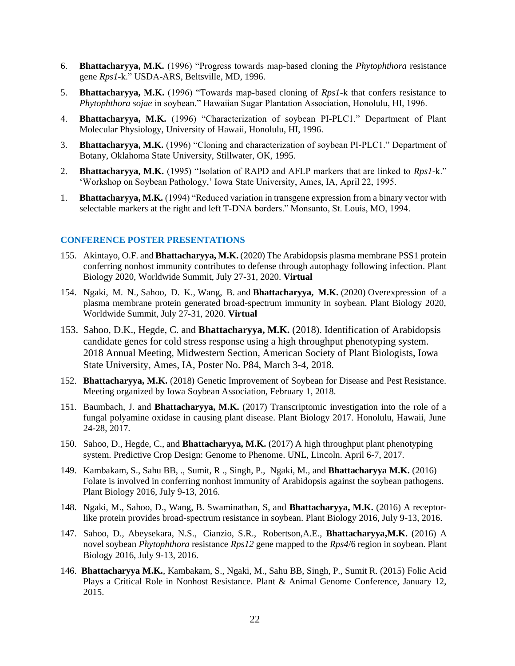- 6. **Bhattacharyya, M.K.** (1996) "Progress towards map-based cloning the *Phytophthora* resistance gene *Rps1*-k." USDA-ARS, Beltsville, MD, 1996.
- 5. **Bhattacharyya, M.K.** (1996) "Towards map-based cloning of *Rps1*-k that confers resistance to *Phytophthora sojae* in soybean." Hawaiian Sugar Plantation Association, Honolulu, HI, 1996.
- 4. **Bhattacharyya, M.K.** (1996) "Characterization of soybean PI-PLC1." Department of Plant Molecular Physiology, University of Hawaii, Honolulu, HI, 1996.
- 3. **Bhattacharyya, M.K.** (1996) "Cloning and characterization of soybean PI-PLC1." Department of Botany, Oklahoma State University, Stillwater, OK, 1995.
- 2. **Bhattacharyya, M.K.** (1995) "Isolation of RAPD and AFLP markers that are linked to *Rps1-*k." 'Workshop on Soybean Pathology,' Iowa State University, Ames, IA, April 22, 1995.
- 1. **Bhattacharyya, M.K.** (1994) "Reduced variation in transgene expression from a binary vector with selectable markers at the right and left T-DNA borders." Monsanto, St. Louis, MO, 1994.

#### **CONFERENCE POSTER PRESENTATIONS**

- 155. Akintayo, O.F. and **Bhattacharyya, M.K.** (2020) The Arabidopsis plasma membrane PSS1 protein conferring nonhost immunity contributes to defense through autophagy following infection. Plant Biology 2020, Worldwide Summit, July 27-31, 2020. **Virtual**
- 154. Ngaki, M. N., Sahoo, D. K., Wang, B. and **Bhattacharyya, M.K.** (2020) Overexpression of a plasma membrane protein generated broad-spectrum immunity in soybean. Plant Biology 2020, Worldwide Summit, July 27-31, 2020. **Virtual**
- 153. Sahoo, D.K., Hegde, C. and **Bhattacharyya, M.K.** (2018). Identification of Arabidopsis candidate genes for cold stress response using a high throughput phenotyping system. 2018 Annual Meeting, Midwestern Section, American Society of Plant Biologists, Iowa State University, Ames, IA, Poster No. P84, March 3-4, 2018.
- 152. **Bhattacharyya, M.K.** (2018) Genetic Improvement of Soybean for Disease and Pest Resistance. Meeting organized by Iowa Soybean Association, February 1, 2018.
- 151. Baumbach, J. and **Bhattacharyya, M.K.** (2017) Transcriptomic investigation into the role of a fungal polyamine oxidase in causing plant disease. Plant Biology 2017. Honolulu, Hawaii, June 24-28, 2017.
- 150. Sahoo, D., Hegde, C., and **Bhattacharyya, M.K.** (2017) A high throughput plant phenotyping system. Predictive Crop Design: Genome to Phenome. UNL, Lincoln. April 6-7, 2017.
- 149. Kambakam, S., Sahu BB, ., Sumit, R ., Singh, P., Ngaki, M., and **Bhattacharyya M.K.** (2016) Folate is involved in conferring nonhost immunity of Arabidopsis against the soybean pathogens. Plant Biology 2016, July 9-13, 2016.
- 148. Ngaki, M., Sahoo, D., Wang, B. Swaminathan, S, and **Bhattacharyya, M.K.** (2016) A receptorlike protein provides broad-spectrum resistance in soybean. Plant Biology 2016, July 9-13, 2016.
- 147. Sahoo, D., Abeysekara, N.S., Cianzio, S.R., Robertson,A.E., **Bhattacharyya,M.K.** (2016) A novel soybean *Phytophthora* resistance *Rps12* gene mapped to the *Rps4*/6 region in soybean. Plant Biology 2016, July 9-13, 2016.
- 146. **Bhattacharyya M.K.**, Kambakam, S., Ngaki, M., Sahu BB, Singh, P., Sumit R. (2015) Folic Acid Plays a Critical Role in Nonhost Resistance. Plant & Animal Genome Conference, January 12, 2015.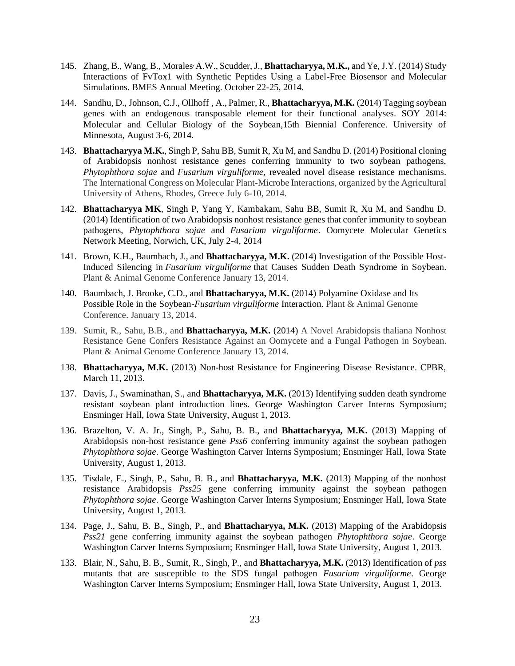- 145. Zhang, B., Wang, B., Morales, A.W., Scudder, J., **Bhattacharyya, M.K.,** and Ye, J.Y. (2014) Study Interactions of FvTox1 with Synthetic Peptides Using a Label-Free Biosensor and Molecular Simulations. BMES Annual Meeting. October 22-25, 2014.
- 144. Sandhu, D., Johnson, C.J., Ollhoff , A., Palmer, R., **Bhattacharyya, M.K.** (2014) Tagging soybean genes with an endogenous transposable element for their functional analyses. SOY 2014: Molecular and Cellular Biology of the Soybean,15th Biennial Conference. University of Minnesota, August 3-6, 2014.
- 143. **Bhattacharyya M.K.**, Singh P, Sahu BB, Sumit R, Xu M, and Sandhu D. (2014) Positional cloning of Arabidopsis nonhost resistance genes conferring immunity to two soybean pathogens, *Phytophthora sojae* and *Fusarium virguliforme,* revealed novel disease resistance mechanisms. The International Congress on Molecular Plant-Microbe Interactions, organized by the Agricultural University of Athens, Rhodes, Greece July 6-10, 2014.
- 142. **Bhattacharyya MK**, Singh P, Yang Y, Kambakam, Sahu BB, Sumit R, Xu M, and Sandhu D. (2014) Identification of two Arabidopsis nonhost resistance genes that confer immunity to soybean pathogens, *Phytophthora sojae* and *Fusarium virguliforme*. Oomycete Molecular Genetics Network Meeting, Norwich, UK, July 2-4, 2014
- 141. Brown, K.H., Baumbach, J., and **Bhattacharyya, M.K.** (2014) Investigation of the Possible Host-Induced Silencing in *Fusarium virguliforme* that Causes Sudden Death Syndrome in Soybean. Plant & Animal Genome Conference January 13, 2014.
- 140. Baumbach, J. Brooke, C.D., and **Bhattacharyya, M.K.** (2014) Polyamine Oxidase and Its Possible Role in the Soybean-*Fusarium virguliforme* Interaction. Plant & Animal Genome Conference. January 13, 2014.
- 139. Sumit, R., Sahu, B.B., and **Bhattacharyya, M.K.** (2014) A Novel Arabidopsis thaliana Nonhost Resistance Gene Confers Resistance Against an Oomycete and a Fungal Pathogen in Soybean. Plant & Animal Genome Conference January 13, 2014.
- 138. **Bhattacharyya, M.K.** (2013) Non-host Resistance for Engineering Disease Resistance. CPBR, March 11, 2013.
- 137. Davis, J., Swaminathan, S., and **Bhattacharyya, M.K.** (2013) Identifying sudden death syndrome resistant soybean plant introduction lines. George Washington Carver Interns Symposium; Ensminger Hall, Iowa State University, August 1, 2013.
- 136. Brazelton, V. A. Jr., Singh, P., Sahu, B. B., and **Bhattacharyya, M.K.** (2013) Mapping of Arabidopsis non-host resistance gene *Pss6* conferring immunity against the soybean pathogen *Phytophthora sojae*. George Washington Carver Interns Symposium; Ensminger Hall, Iowa State University, August 1, 2013.
- 135. Tisdale, E., Singh, P., Sahu, B. B., and **Bhattacharyya, M.K.** (2013) Mapping of the nonhost resistance Arabidopsis *Pss25* gene conferring immunity against the soybean pathogen *Phytophthora sojae*. George Washington Carver Interns Symposium; Ensminger Hall, Iowa State University, August 1, 2013.
- 134. Page, J., Sahu, B. B., Singh, P., and **Bhattacharyya, M.K.** (2013) Mapping of the Arabidopsis *Pss21* gene conferring immunity against the soybean pathogen *Phytophthora sojae*. George Washington Carver Interns Symposium; Ensminger Hall, Iowa State University, August 1, 2013.
- 133. Blair, N., Sahu, B. B., Sumit, R., Singh, P., and **Bhattacharyya, M.K.** (2013) Identification of *pss* mutants that are susceptible to the SDS fungal pathogen *Fusarium virguliforme*. George Washington Carver Interns Symposium; Ensminger Hall, Iowa State University, August 1, 2013.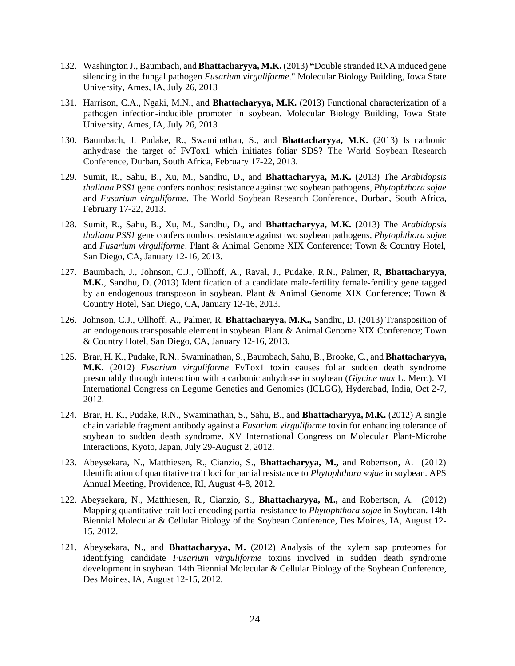- 132. Washington J., Baumbach, and **Bhattacharyya, M.K.** (2013) **"**Double stranded RNA induced gene silencing in the fungal pathogen *Fusarium virguliforme*." Molecular Biology Building, Iowa State University, Ames, IA, July 26, 2013
- 131. Harrison, C.A., Ngaki, M.N., and **Bhattacharyya, M.K.** (2013) Functional characterization of a pathogen infection-inducible promoter in soybean. Molecular Biology Building, Iowa State University, Ames, IA, July 26, 2013
- 130. Baumbach, J. Pudake, R., Swaminathan, S., and **Bhattacharyya, M.K.** (2013) Is carbonic anhydrase the target of FvTox1 which initiates foliar SDS? The World Soybean Research Conference, Durban, South Africa, February 17-22, 2013.
- 129. Sumit, R., Sahu, B., Xu, M., Sandhu, D., and **Bhattacharyya, M.K.** (2013) The *Arabidopsis thaliana PSS1* gene confers nonhost resistance against two soybean pathogens, *Phytophthora sojae* and *Fusarium virguliforme*. The World Soybean Research Conference, Durban, South Africa, February 17-22, 2013.
- 128. Sumit, R., Sahu, B., Xu, M., Sandhu, D., and **Bhattacharyya, M.K.** (2013) The *Arabidopsis thaliana PSS1* gene confers nonhost resistance against two soybean pathogens, *Phytophthora sojae* and *Fusarium virguliforme*. Plant & Animal Genome XIX Conference; Town & Country Hotel, San Diego, CA, January 12-16, 2013.
- 127. Baumbach, J., Johnson, C.J., Ollhoff, A., Raval, J., Pudake, R.N., Palmer, R, **Bhattacharyya, M.K.**, Sandhu, D. (2013) Identification of a candidate male-fertility female-fertility gene tagged by an endogenous transposon in soybean. Plant & Animal Genome XIX Conference; Town & Country Hotel, San Diego, CA, January 12-16, 2013.
- 126. Johnson, C.J., Ollhoff, A., Palmer, R, **Bhattacharyya, M.K.,** Sandhu, D. (2013) Transposition of an endogenous transposable element in soybean. Plant & Animal Genome XIX Conference; Town & Country Hotel, San Diego, CA, January 12-16, 2013.
- 125. Brar, H. K., Pudake, R.N., Swaminathan, S., Baumbach, Sahu, B., Brooke, C., and **Bhattacharyya, M.K.** (2012) *Fusarium virguliforme* FvTox1 toxin causes foliar sudden death syndrome presumably through interaction with a carbonic anhydrase in soybean (*Glycine max* L. Merr.). VI International Congress on Legume Genetics and Genomics (ICLGG), Hyderabad, India, Oct 2-7, 2012.
- 124. Brar, H. K., Pudake, R.N., Swaminathan, S., Sahu, B., and **Bhattacharyya, M.K.** (2012) A single chain variable fragment antibody against a *Fusarium virguliforme* toxin for enhancing tolerance of soybean to sudden death syndrome. XV International Congress on Molecular Plant-Microbe Interactions, Kyoto, Japan, July 29-August 2, 2012.
- 123. Abeysekara, N., Matthiesen, R., Cianzio, S., **Bhattacharyya, M.,** and Robertson, A. (2012) Identification of quantitative trait loci for partial resistance to *Phytophthora sojae* in soybean. APS Annual Meeting, Providence, RI, August 4-8, 2012.
- 122. Abeysekara, N., Matthiesen, R., Cianzio, S., **Bhattacharyya, M.,** and Robertson, A. (2012) Mapping quantitative trait loci encoding partial resistance to *Phytophthora sojae* in Soybean. 14th Biennial Molecular & Cellular Biology of the Soybean Conference, Des Moines, IA, August 12- 15, 2012.
- 121. Abeysekara, N., and **Bhattacharyya, M.** (2012) Analysis of the xylem sap proteomes for identifying candidate *Fusarium virguliforme* toxins involved in sudden death syndrome development in soybean. 14th Biennial Molecular & Cellular Biology of the Soybean Conference, Des Moines, IA, August 12-15, 2012.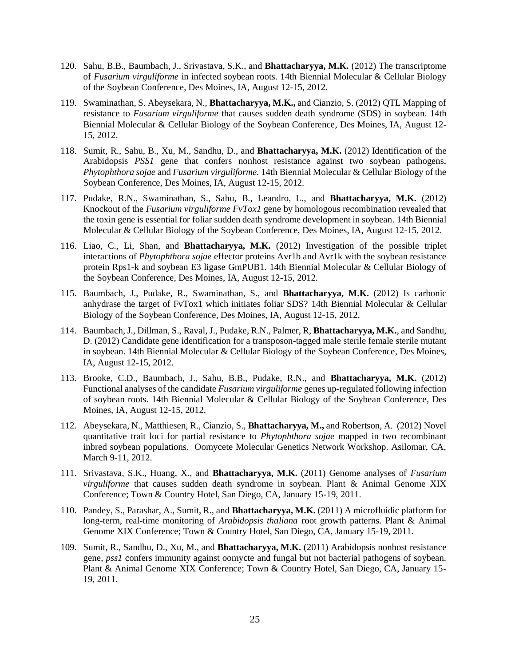- 120. Sahu, B.B., Baumbach, J., Srivastava, S.K., and **Bhattacharyya, M.K.** (2012) The transcriptome of *Fusarium virguliforme* in infected soybean roots. 14th Biennial Molecular & Cellular Biology of the Soybean Conference, Des Moines, IA, August 12-15, 2012.
- 119. Swaminathan, S. Abeysekara, N., **Bhattacharyya, M.K.,** and Cianzio, S. (2012) QTL Mapping of resistance to *Fusarium virguliforme* that causes sudden death syndrome (SDS) in soybean. 14th Biennial Molecular & Cellular Biology of the Soybean Conference, Des Moines, IA, August 12- 15, 2012.
- 118. Sumit, R., Sahu, B., Xu, M., Sandhu, D., and **Bhattacharyya, M.K.** (2012) Identification of the Arabidopsis *PSS1* gene that confers nonhost resistance against two soybean pathogens, *Phytophthora sojae* and *Fusarium virguliforme.* 14th Biennial Molecular & Cellular Biology of the Soybean Conference, Des Moines, IA, August 12-15, 2012.
- 117. Pudake, R.N., Swaminathan, S., Sahu, B., Leandro, L., and **Bhattacharyya, M.K.** (2012) Knockout of the *Fusarium virguliforme FvTox1* gene by homologous recombination revealed that the toxin gene is essential for foliar sudden death syndrome development in soybean. 14th Biennial Molecular & Cellular Biology of the Soybean Conference, Des Moines, IA, August 12-15, 2012.
- 116. Liao, C., Li, Shan, and **Bhattacharyya, M.K.** (2012) Investigation of the possible triplet interactions of *Phytophthora sojae* effector proteins Avr1b and Avr1k with the soybean resistance protein Rps1-k and soybean E3 ligase GmPUB1. 14th Biennial Molecular & Cellular Biology of the Soybean Conference, Des Moines, IA, August 12-15, 2012.
- 115. Baumbach, J., Pudake, R., Swaminathan, S., and **Bhattacharyya, M.K.** (2012) Is carbonic anhydrase the target of FvTox1 which initiates foliar SDS? 14th Biennial Molecular & Cellular Biology of the Soybean Conference, Des Moines, IA, August 12-15, 2012.
- 114. Baumbach, J., Dillman, S., Raval, J., Pudake, R.N., Palmer, R, **Bhattacharyya, M.K.**, and Sandhu, D. (2012) Candidate gene identification for a transposon-tagged male sterile female sterile mutant in soybean. 14th Biennial Molecular & Cellular Biology of the Soybean Conference, Des Moines, IA, August 12-15, 2012.
- 113. Brooke, C.D., Baumbach, J., Sahu, B.B., Pudake, R.N., and **Bhattacharyya, M.K.** (2012) Functional analyses of the candidate *Fusarium virguliforme* genes up-regulated following infection of soybean roots. 14th Biennial Molecular & Cellular Biology of the Soybean Conference, Des Moines, IA, August 12-15, 2012.
- 112. Abeysekara, N., Matthiesen, R., Cianzio, S., **Bhattacharyya, M.,** and Robertson, A. (2012) Novel quantitative trait loci for partial resistance to *Phytophthora sojae* mapped in two recombinant inbred soybean populations. Oomycete Molecular Genetics Network Workshop. Asilomar, CA, March 9-11, 2012.
- 111. Srivastava, S.K., Huang, X., and **Bhattacharyya, M.K.** (2011) Genome analyses of *Fusarium virguliforme* that causes sudden death syndrome in soybean. Plant & Animal Genome XIX Conference; Town & Country Hotel, San Diego, CA, January 15-19, 2011.
- 110. Pandey, S., Parashar, A., Sumit, R., and **Bhattacharyya, M.K.** (2011) A microfluidic platform for long-term, real-time monitoring of *Arabidopsis thaliana* root growth patterns. Plant & Animal Genome XIX Conference; Town & Country Hotel, San Diego, CA, January 15-19, 2011.
- 109. Sumit, R., Sandhu, D., Xu, M., and **Bhattacharyya, M.K.** (2011) Arabidopsis nonhost resistance gene, *pss1* confers immunity against oomycte and fungal but not bacterial pathogens of soybean. Plant & Animal Genome XIX Conference; Town & Country Hotel, San Diego, CA, January 15- 19, 2011.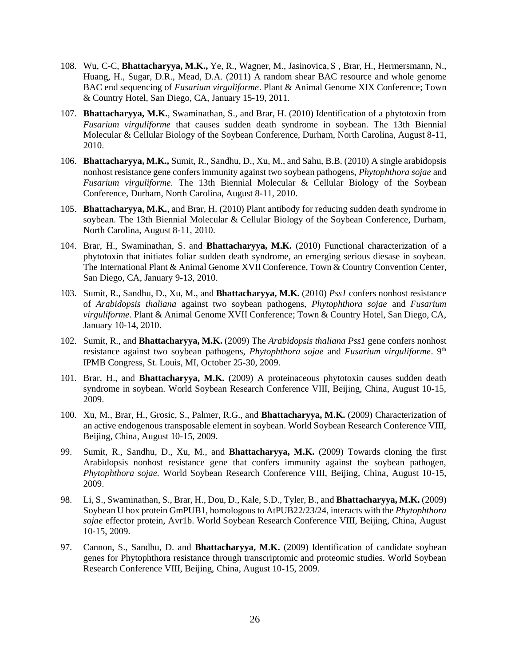- 108. Wu, C-C, **Bhattacharyya, M.K.,** [Ye,](mailto:) R., [Wagner,](mailto:) M.[, Jasinovica,](mailto:) S , Brar, H., [Hermersmann,](mailto:) N., [Huang,](mailto:) H., [Sugar,](mailto:) D.R., [Mead,](mailto:) D.A. (2011) A random shear BAC resource and whole genome BAC end sequencing of *Fusarium virguliforme*. Plant & Animal Genome XIX Conference; Town & Country Hotel, San Diego, CA, January 15-19, 2011.
- 107. **Bhattacharyya, M.K.**, Swaminathan, S., and Brar, H. (2010) Identification of a phytotoxin from *Fusarium virguliforme* that causes sudden death syndrome in soybean. The 13th Biennial Molecular & Cellular Biology of the Soybean Conference, Durham, North Carolina, August 8-11, 2010.
- 106. **Bhattacharyya, M.K.,** Sumit, R., Sandhu, D., Xu, M., and Sahu, B.B. (2010) A single arabidopsis nonhost resistance gene confers immunity against two soybean pathogens, *Phytophthora sojae* and *Fusarium virguliforme.* The 13th Biennial Molecular & Cellular Biology of the Soybean Conference, Durham, North Carolina, August 8-11, 2010.
- 105. **Bhattacharyya, M.K.**, and Brar, H. (2010) Plant antibody for reducing sudden death syndrome in soybean. The 13th Biennial Molecular & Cellular Biology of the Soybean Conference, Durham, North Carolina, August 8-11, 2010.
- 104. Brar, H., Swaminathan, S. and **Bhattacharyya, M.K.** (2010) Functional characterization of a phytotoxin that initiates foliar sudden death syndrome, an emerging serious diesase in soybean. The International Plant & Animal Genome XVII Conference, Town & Country Convention Center, San Diego, CA, January 9-13, 2010.
- 103. Sumit, R., Sandhu, D., Xu, M., and **Bhattacharyya, M.K.** (2010) *Pss1* confers nonhost resistance of *Arabidopsis thaliana* against two soybean pathogens, *Phytophthora sojae* and *Fusarium virguliforme*. Plant & Animal Genome XVII Conference; Town & Country Hotel, San Diego, CA, January 10-14, 2010.
- 102. Sumit, R., and **Bhattacharyya, M.K.** (2009) The *Arabidopsis thaliana Pss1* gene confers nonhost resistance against two soybean pathogens, *Phytophthora sojae* and *Fusarium virguliforme*. 9<sup>th</sup> IPMB Congress, St. Louis, MI, October 25-30, 2009.
- 101. Brar, H., and **Bhattacharyya, M.K.** (2009) A proteinaceous phytotoxin causes sudden death syndrome in soybean. World Soybean Research Conference VIII, Beijing, China, August 10-15, 2009.
- 100. Xu, M., Brar, H., Grosic, S., Palmer, R.G., and **Bhattacharyya, M.K.** (2009) Characterization of an active endogenous transposable element in soybean. World Soybean Research Conference VIII, Beijing, China, August 10-15, 2009.
- 99. Sumit, R., Sandhu, D., Xu, M., and **Bhattacharyya, M.K.** (2009) Towards cloning the first Arabidopsis nonhost resistance gene that confers immunity against the soybean pathogen, *Phytophthora sojae.* World Soybean Research Conference VIII, Beijing, China, August 10-15, 2009.
- 98. Li, S., Swaminathan, S., Brar, H., Dou, D., Kale, S.D., Tyler, B., and **Bhattacharyya, M.K.** (2009) Soybean U box protein GmPUB1, homologous to AtPUB22/23/24, interacts with the *Phytophthora sojae* effector protein, Avr1b. World Soybean Research Conference VIII, Beijing, China, August 10-15, 2009.
- 97. Cannon, S., Sandhu, D. and **Bhattacharyya, M.K.** (2009) Identification of candidate soybean genes for Phytophthora resistance through transcriptomic and proteomic studies. World Soybean Research Conference VIII, Beijing, China, August 10-15, 2009.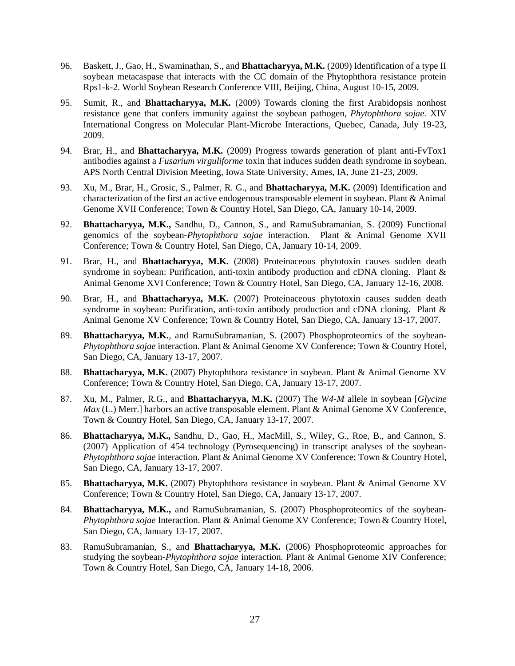- 96. Baskett, J., Gao, H., Swaminathan, S., and **Bhattacharyya, M.K.** (2009) Identification of a type II soybean metacaspase that interacts with the CC domain of the Phytophthora resistance protein Rps1-k-2. World Soybean Research Conference VIII, Beijing, China, August 10-15, 2009.
- 95. Sumit, R., and **Bhattacharyya, M.K.** (2009) Towards cloning the first Arabidopsis nonhost resistance gene that confers immunity against the soybean pathogen, *Phytophthora sojae.* XIV International Congress on Molecular Plant-Microbe Interactions, Quebec, Canada, July 19-23, 2009.
- 94. Brar, H., and **Bhattacharyya, M.K.** (2009) Progress towards generation of plant anti-FvTox1 antibodies against a *Fusarium virguliforme* toxin that induces sudden death syndrome in soybean. APS North Central Division Meeting, Iowa State University, Ames, IA, June 21-23, 2009.
- 93. Xu, M., Brar, H., Grosic, S., Palmer, R. G., and **Bhattacharyya, M.K.** (2009) Identification and characterization of the first an active endogenous transposable element in soybean. Plant & Animal Genome XVII Conference; Town & Country Hotel, San Diego, CA, January 10-14, 2009.
- 92. **Bhattacharyya, M.K.,** Sandhu, D., Cannon, S., and RamuSubramanian, S. (2009) Functional genomics of the soybean-*Phytophthora sojae* interaction. Plant & Animal Genome XVII Conference; Town & Country Hotel, San Diego, CA, January 10-14, 2009.
- 91. Brar, H., and **Bhattacharyya, M.K.** (2008) Proteinaceous phytotoxin causes sudden death syndrome in soybean: Purification, anti-toxin antibody production and cDNA cloning. Plant & Animal Genome XVI Conference; Town & Country Hotel, San Diego, CA, January 12-16, 2008.
- 90. Brar, H., and **Bhattacharyya, M.K.** (2007) Proteinaceous phytotoxin causes sudden death syndrome in soybean: Purification, anti-toxin antibody production and cDNA cloning.Plant & Animal Genome XV Conference; Town & Country Hotel, San Diego, CA, January 13-17, 2007.
- 89. **Bhattacharyya, M.K.**, and RamuSubramanian, S. (2007) Phosphoproteomics of the soybean-*Phytophthora sojae* interaction. Plant & Animal Genome XV Conference; Town & Country Hotel, San Diego, CA, January 13-17, 2007.
- 88. **Bhattacharyya, M.K.** (2007) Phytophthora resistance in soybean. Plant & Animal Genome XV Conference; Town & Country Hotel, San Diego, CA, January 13-17, 2007.
- 87. Xu, M., Palmer, R.G., and **Bhattacharyya, M.K.** (2007) The *W4-M* allele in soybean [*Glycine Max* (L.) Merr.] harbors an active transposable element. Plant & Animal Genome XV Conference, Town & Country Hotel, San Diego, CA, January 13-17, 2007.
- 86. **Bhattacharyya, M.K.,** Sandhu, D., Gao, H., MacMill, S., Wiley, G., Roe, B., and Cannon, S. (2007) Application of 454 technology (Pyrosequencing) in transcript analyses of the soybean-*Phytophthora sojae* interaction. Plant & Animal Genome XV Conference; Town & Country Hotel, San Diego, CA, January 13-17, 2007.
- 85. **Bhattacharyya, M.K.** (2007) Phytophthora resistance in soybean. Plant & Animal Genome XV Conference; Town & Country Hotel, San Diego, CA, January 13-17, 2007.
- 84. **Bhattacharyya, M.K.,** and RamuSubramanian, S. (2007) Phosphoproteomics of the soybean-*Phytophthora sojae* Interaction. Plant & Animal Genome XV Conference; Town & Country Hotel, San Diego, CA, January 13-17, 2007.
- 83. RamuSubramanian, S., and **Bhattacharyya, M.K.** (2006) Phosphoproteomic approaches for studying the soybean-*Phytophthora sojae* interaction*.* Plant & Animal Genome XIV Conference; Town & Country Hotel, San Diego, CA, January 14-18, 2006.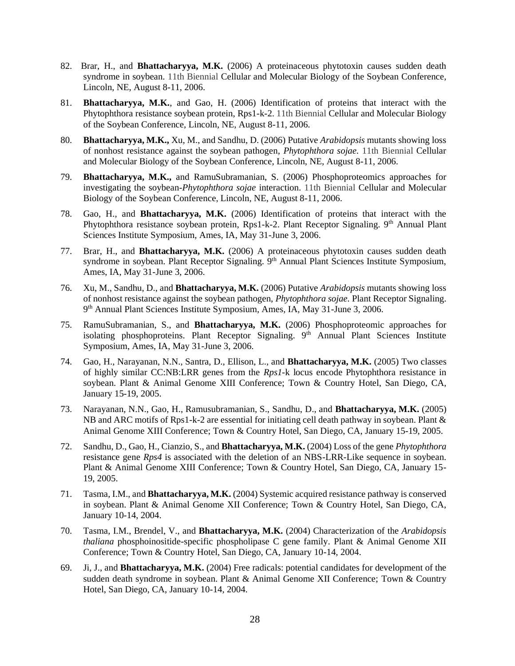- 82. Brar, H., and **Bhattacharyya, M.K.** (2006) A proteinaceous phytotoxin causes sudden death syndrome in soybean. 11th Biennial Cellular and Molecular Biology of the Soybean Conference, Lincoln, NE, August 8-11, 2006.
- 81. **Bhattacharyya, M.K.**, and Gao, H. (2006) Identification of proteins that interact with the Phytophthora resistance soybean protein, Rps1-k-2. 11th Biennial Cellular and Molecular Biology of the Soybean Conference, Lincoln, NE, August 8-11, 2006.
- 80. **Bhattacharyya, M.K.,** Xu, M., and Sandhu, D. (2006) Putative *Arabidopsis* mutants showing loss of nonhost resistance against the soybean pathogen, *Phytophthora sojae.* 11th Biennial Cellular and Molecular Biology of the Soybean Conference, Lincoln, NE, August 8-11, 2006.
- 79. **Bhattacharyya, M.K.,** and RamuSubramanian, S. (2006) Phosphoproteomics approaches for investigating the soybean-*Phytophthora sojae* interaction. 11th Biennial Cellular and Molecular Biology of the Soybean Conference, Lincoln, NE, August 8-11, 2006.
- 78. Gao, H., and **Bhattacharyya, M.K.** (2006) Identification of proteins that interact with the Phytophthora resistance soybean protein, Rps1-k-2. Plant Receptor Signaling. 9<sup>th</sup> Annual Plant Sciences Institute Symposium, Ames, IA, May 31-June 3, 2006.
- 77. Brar, H., and **Bhattacharyya, M.K.** (2006) A proteinaceous phytotoxin causes sudden death syndrome in soybean. Plant Receptor Signaling. 9<sup>th</sup> Annual Plant Sciences Institute Symposium, Ames, IA, May 31-June 3, 2006.
- 76. Xu, M., Sandhu, D., and **Bhattacharyya, M.K.** (2006) Putative *Arabidopsis* mutants showing loss of nonhost resistance against the soybean pathogen, *Phytophthora sojae.* Plant Receptor Signaling. 9 th Annual Plant Sciences Institute Symposium, Ames, IA, May 31-June 3, 2006.
- 75. RamuSubramanian, S., and **Bhattacharyya, M.K.** (2006) Phosphoproteomic approaches for isolating phosphoproteins. Plant Receptor Signaling.  $9<sup>th</sup>$  Annual Plant Sciences Institute Symposium, Ames, IA, May 31-June 3, 2006.
- 74. Gao, H., Narayanan, N.N., Santra, D., Ellison, L., and **Bhattacharyya, M.K.** (2005) Two classes of highly similar CC:NB:LRR genes from the *Rps1*-k locus encode Phytophthora resistance in soybean. Plant & Animal Genome XIII Conference; Town & Country Hotel, San Diego, CA, January 15-19, 2005.
- 73. Narayanan, N.N., Gao, H., Ramusubramanian, S., Sandhu, D., and **Bhattacharyya, M.K.** (2005) NB and ARC motifs of Rps1-k-2 are essential for initiating cell death pathway in soybean. Plant & Animal Genome XIII Conference; Town & Country Hotel, San Diego, CA, January 15-19, 2005.
- 72. Sandhu, D., Gao, H., Cianzio, S., and **Bhattacharyya, M.K.** (2004) Loss of the gene *Phytophthora* resistance gene *Rps4* is associated with the deletion of an NBS-LRR-Like sequence in soybean. Plant & Animal Genome XIII Conference; Town & Country Hotel, San Diego, CA, January 15- 19, 2005.
- 71. Tasma, I.M., and **Bhattacharyya, M.K.** (2004) Systemic acquired resistance pathway is conserved in soybean. Plant & Animal Genome XII Conference; Town & Country Hotel, San Diego, CA, January 10-14, 2004.
- 70. Tasma, I.M., Brendel, V., and **Bhattacharyya, M.K.** (2004) Characterization of the *Arabidopsis thaliana* phosphoinositide-specific phospholipase C gene family. Plant & Animal Genome XII Conference; Town & Country Hotel, San Diego, CA, January 10-14, 2004.
- 69. [Ji,](mailto:) J., and **Bhattacharyya, M.K.** (2004) Free radicals: potential candidates for development of the sudden death syndrome in soybean. Plant & Animal Genome XII Conference; Town & Country Hotel, San Diego, CA, January 10-14, 2004.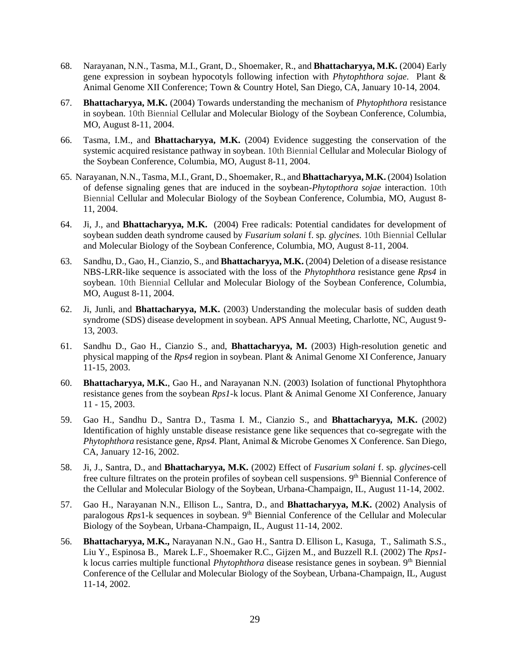- 68. [Narayanan, N.N.,](mailto:nnarayan@iastate.edu) [Tasma,](mailto:tasma@iastate.edu) M.I., Grant, D., [Shoemaker,](mailto:rcsshoe@iastate.edu) R., and **Bhattacharyya, M.K.** (2004) Early gene expression in soybean hypocotyls following infection with *Phytophthora sojae.* Plant & Animal Genome XII Conference; Town & Country Hotel, San Diego, CA, January 10-14, 2004.
- 67. **Bhattacharyya, M.K.** (2004) Towards understanding the mechanism of *Phytophthora* resistance in soybean. 10th Biennial Cellular and Molecular Biology of the Soybean Conference, Columbia, MO, August 8-11, 2004.
- 66. Tasma, I.M., and **Bhattacharyya, M.K.** (2004) Evidence suggesting the conservation of the systemic acquired resistance pathway in soybean. 10th Biennial Cellular and Molecular Biology of the Soybean Conference, Columbia, MO, August 8-11, 2004.
- 65. Narayanan, N.N.[, Tasma,](mailto:tasma@iastate.edu) M.I., Grant, D.[, Shoemaker,](mailto:rcsshoe@iastate.edu) R., and **Bhattacharyya, M.K.** (2004) Isolation of defense signaling genes that are induced in the soybean-*Phytopthora sojae* interaction. 10th Biennial Cellular and Molecular Biology of the Soybean Conference, Columbia, MO, August 8- 11, 2004.
- 64. [Ji,](mailto:) J., and **Bhattacharyya, M.K.** (2004) Free radicals: Potential candidates for development of soybean sudden death syndrome caused by *Fusarium solani* f. sp*. glycines.* 10th Biennial Cellular and Molecular Biology of the Soybean Conference, Columbia, MO, August 8-11, 2004.
- 63. Sandhu, D., Gao, H., Cianzio, S., and **Bhattacharyya, M.K.** (2004) Deletion of a disease resistance NBS-LRR-like sequence is associated with the loss of the *Phytophthora* resistance gene *Rps4* in soybean. 10th Biennial Cellular and Molecular Biology of the Soybean Conference, Columbia, MO, August 8-11, 2004.
- 62. Ji, Junli, and **Bhattacharyya, M.K.** (2003) Understanding the molecular basis of sudden death syndrome (SDS) disease development in soybean. APS Annual Meeting, Charlotte, NC, August 9- 13, 2003.
- 61. Sandhu D., Gao H., Cianzio S., and, **Bhattacharyya, M.** (2003) High-resolution genetic and physical mapping of the *Rps4* region in soybean. Plant & Animal Genome XI Conference, January 11-15, 2003.
- 60. **Bhattacharyya, M.K.**, Gao H., and Narayanan N.N. (2003) Isolation of functional Phytophthora resistance genes from the soybean *Rps1*-k locus. Plant & Animal Genome XI Conference, January 11 - 15, 2003.
- 59. Gao H., Sandhu D., Santra D., Tasma I. M., Cianzio S., and **Bhattacharyya, M.K.** (2002) Identification of highly unstable disease resistance gene like sequences that co-segregate with the *Phytophthora* resistance gene, *Rps4.* Plant, Animal & Microbe Genomes X Conference*.* San Diego, CA, January 12-16, 2002.
- 58. Ji, J., Santra, D., and **Bhattacharyya, M.K.** (2002) Effect of *Fusarium solani* f. sp*. glycines-*cell free culture filtrates on the protein profiles of soybean cell suspensions. 9<sup>th</sup> Biennial Conference of the Cellular and Molecular Biology of the Soybean, Urbana-Champaign, IL, August 11-14, 2002.
- 57. Gao H., Narayanan N.N., Ellison L., Santra, D., and **Bhattacharyya, M.K.** (2002) Analysis of paralogous *Rps*1-k sequences in soybean. 9<sup>th</sup> Biennial Conference of the Cellular and Molecular Biology of the Soybean, Urbana-Champaign, IL, August 11-14, 2002.
- 56. **Bhattacharyya, M.K.,** Narayanan N.N., Gao H., Santra D. Ellison L, Kasuga, T., Salimath S.S., Liu Y., Espinosa B., Marek L.F., Shoemaker R.C., Gijzen M., and Buzzell R.I. (2002) The *Rps1* k locus carries multiple functional *Phytophthora* disease resistance genes in soybean. 9<sup>th</sup> Biennial Conference of the Cellular and Molecular Biology of the Soybean, Urbana-Champaign, IL, August 11-14, 2002.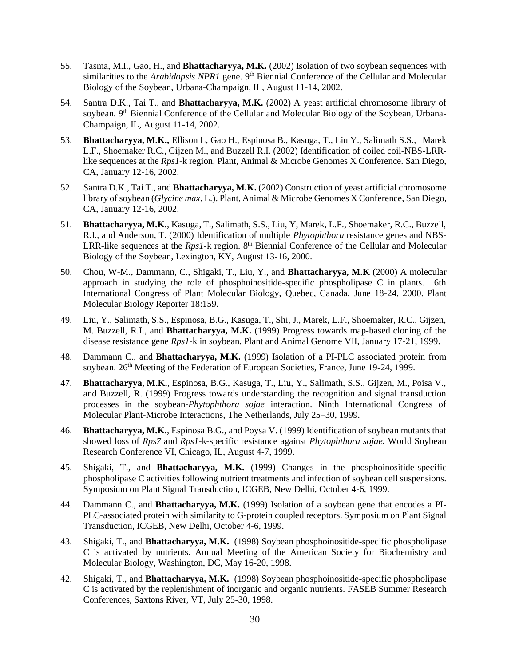- 55. Tasma, M.I., Gao, H., and **Bhattacharyya, M.K.** (2002) Isolation of two soybean sequences with similarities to the *Arabidopsis NPR1* gene. 9<sup>th</sup> Biennial Conference of the Cellular and Molecular Biology of the Soybean, Urbana-Champaign, IL, August 11-14, 2002.
- 54. Santra D.K., Tai T., and **Bhattacharyya, M.K.** (2002) A yeast artificial chromosome library of soybean. 9<sup>th</sup> Biennial Conference of the Cellular and Molecular Biology of the Soybean, Urbana-Champaign, IL, August 11-14, 2002.
- 53. **Bhattacharyya, M.K.,** Ellison L, Gao H., Espinosa B., Kasuga, T., Liu Y., Salimath S.S., Marek L.F., Shoemaker R.C., Gijzen M., and Buzzell R.I. (2002) Identification of coiled coil-NBS-LRRlike sequences at the *Rps1*-k region. Plant, Animal & Microbe Genomes X Conference. San Diego, CA, January 12-16, 2002.
- 52. Santra D.K., Tai T., and **Bhattacharyya, M.K.** (2002) Construction of yeast artificial chromosome library of soybean (*Glycine max,* L.). Plant, Animal & Microbe Genomes X Conference, San Diego, CA, January 12-16, 2002.
- 51. **Bhattacharyya, M.K.**, Kasuga, T., Salimath, S.S., Liu, Y, Marek, L.F., Shoemaker, R.C., Buzzell, R.I., and Anderson, T. (2000) Identification of multiple *Phytophthora* resistance genes and NBS-LRR-like sequences at the *Rps1*-k region. 8<sup>th</sup> Biennial Conference of the Cellular and Molecular Biology of the Soybean, Lexington, KY, August 13-16, 2000.
- 50. Chou, W-M., Dammann, C., Shigaki, T., Liu, Y., and **Bhattacharyya, M.K** (2000) A molecular approach in studying the role of phosphoinositide-specific phospholipase C in plants. 6th International Congress of Plant Molecular Biology, Quebec, Canada, June 18-24, 2000. Plant Molecular Biology Reporter 18:159.
- 49. Liu, Y., Salimath, S.S., Espinosa, B.G., Kasuga, T., Shi, J., Marek, L.F., Shoemaker, R.C., Gijzen, M. Buzzell, R.I., and **Bhattacharyya, M.K.** (1999) Progress towards map-based cloning of the disease resistance gene *Rps1*-k in soybean. Plant and Animal Genome VII, January 17-21, 1999.
- 48. Dammann C., and **Bhattacharyya, M.K.** (1999) Isolation of a PI-PLC associated protein from soybean. 26<sup>th</sup> Meeting of the Federation of European Societies, France, June 19-24, 1999.
- 47. **Bhattacharyya, M.K.**, Espinosa, B.G., Kasuga, T., Liu, Y., Salimath, S.S., Gijzen, M., Poisa V., and Buzzell, R. (1999) Progress towards understanding the recognition and signal transduction processes in the soybean-*Phytophthora sojae* interaction. Ninth International Congress of Molecular Plant-Microbe Interactions, The Netherlands, July 25–30, 1999.
- 46. **Bhattacharyya, M.K.**, Espinosa B.G., and Poysa V. (1999) Identification of soybean mutants that showed loss of *Rps7* and *Rps1*-k-specific resistance against *Phytophthora sojae.* World Soybean Research Conference VI, Chicago, IL, August 4-7, 1999.
- 45. Shigaki, T., and **Bhattacharyya, M.K.** (1999) Changes in the phosphoinositide-specific phospholipase C activities following nutrient treatments and infection of soybean cell suspensions. Symposium on Plant Signal Transduction, ICGEB, New Delhi, October 4-6, 1999.
- 44. Dammann C., and **Bhattacharyya, M.K.** (1999) Isolation of a soybean gene that encodes a PI-PLC-associated protein with similarity to G-protein coupled receptors. Symposium on Plant Signal Transduction, ICGEB, New Delhi, October 4-6, 1999.
- 43. Shigaki, T., and **Bhattacharyya, M.K.** (1998) Soybean phosphoinositide-specific phospholipase C is activated by nutrients. Annual Meeting of the American Society for Biochemistry and Molecular Biology, Washington, DC, May 16-20, 1998.
- 42. Shigaki, T., and **Bhattacharyya, M.K.** (1998) Soybean phosphoinositide-specific phospholipase C is activated by the replenishment of inorganic and organic nutrients. FASEB Summer Research Conferences, Saxtons River, VT, July 25-30, 1998.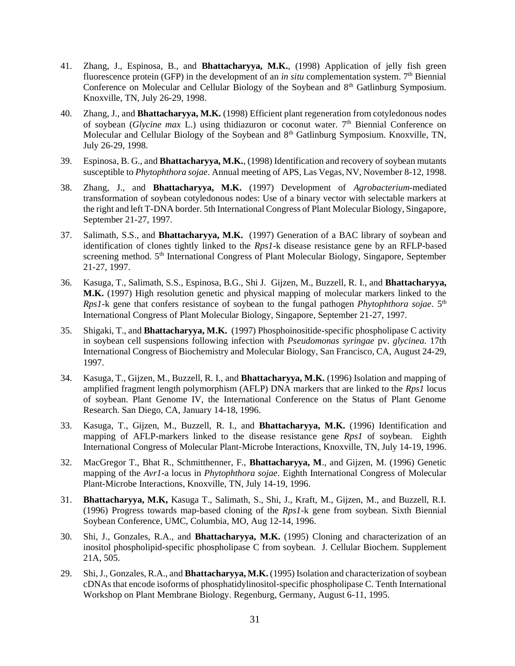- 41. Zhang, J., Espinosa, B., and **Bhattacharyya, M.K.**, (1998) Application of jelly fish green fluorescence protein (GFP) in the development of an *in situ* complementation system.  $7<sup>th</sup>$  Biennial Conference on Molecular and Cellular Biology of the Soybean and 8<sup>th</sup> Gatlinburg Symposium. Knoxville, TN, July 26-29, 1998.
- 40. Zhang, J., and **Bhattacharyya, M.K.** (1998) Efficient plant regeneration from cotyledonous nodes of soybean (*Glycine max* L.) using thidiazuron or coconut water. 7<sup>th</sup> Biennial Conference on Molecular and Cellular Biology of the Soybean and 8<sup>th</sup> Gatlinburg Symposium. Knoxville, TN, July 26-29, 1998.
- 39. Espinosa, B. G., and **Bhattacharyya, M.K.**, (1998) Identification and recovery of soybean mutants susceptible to *Phytophthora sojae*. Annual meeting of APS, Las Vegas, NV, November 8-12, 1998.
- 38. Zhang, J., and **Bhattacharyya, M.K.** (1997) Development of *Agrobacterium-*mediated transformation of soybean cotyledonous nodes: Use of a binary vector with selectable markers at the right and left T-DNA border. 5th International Congress of Plant Molecular Biology, Singapore, September 21-27, 1997.
- 37. Salimath, S.S., and **Bhattacharyya, M.K.** (1997) Generation of a BAC library of soybean and identification of clones tightly linked to the *Rps1-*k disease resistance gene by an RFLP-based screening method. 5<sup>th</sup> International Congress of Plant Molecular Biology, Singapore, September 21-27, 1997.
- 36. Kasuga, T., Salimath, S.S., Espinosa, B.G., Shi J. Gijzen, M., Buzzell, R. I., and **Bhattacharyya, M.K.** (1997) High resolution genetic and physical mapping of molecular markers linked to the *Rps1*-k gene that confers resistance of soybean to the fungal pathogen *Phytophthora sojae*. 5<sup>th</sup> International Congress of Plant Molecular Biology, Singapore, September 21-27, 1997.
- 35. Shigaki, T., and **Bhattacharyya, M.K.** (1997) Phosphoinositide-specific phospholipase C activity in soybean cell suspensions following infection with *Pseudomonas syringae* pv. *glycinea.* 17th International Congress of Biochemistry and Molecular Biology, San Francisco, CA, August 24-29, 1997.
- 34. Kasuga, T., Gijzen, M., Buzzell, R. I., and **Bhattacharyya, M.K.** (1996) Isolation and mapping of amplified fragment length polymorphism (AFLP) DNA markers that are linked to the *Rps1* locus of soybean. Plant Genome IV, the International Conference on the Status of Plant Genome Research. San Diego, CA, January 14-18, 1996.
- 33. Kasuga, T., Gijzen, M., Buzzell, R. I., and **Bhattacharyya, M.K.** (1996) Identification and mapping of AFLP-markers linked to the disease resistance gene *Rps1* of soybean. Eighth International Congress of Molecular Plant-Microbe Interactions, Knoxville, TN, July 14-19, 1996.
- 32. MacGregor T., Bhat R., Schmitthenner, F., **Bhattacharyya, M**., and Gijzen, M. (1996) Genetic mapping of the *Avr1-*a locus in *Phytophthora sojae*. Eighth International Congress of Molecular Plant-Microbe Interactions, Knoxville, TN, July 14-19, 1996.
- 31. **Bhattacharyya, M.K,** Kasuga T., Salimath, S., Shi, J., Kraft, M., Gijzen, M., and Buzzell, R.I. (1996) Progress towards map-based cloning of the *Rps1*-k gene from soybean. Sixth Biennial Soybean Conference, UMC, Columbia, MO, Aug 12-14, 1996.
- 30. Shi, J., Gonzales, R.A., and **Bhattacharyya, M.K.** (1995) Cloning and characterization of an inositol phospholipid-specific phospholipase C from soybean. J. Cellular Biochem. Supplement 21A, 505.
- 29. Shi, J., Gonzales, R.A., and **Bhattacharyya, M.K.** (1995) Isolation and characterization of soybean cDNAs that encode isoforms of phosphatidylinositol-specific phospholipase C. Tenth International Workshop on Plant Membrane Biology. Regenburg, Germany, August 6-11, 1995.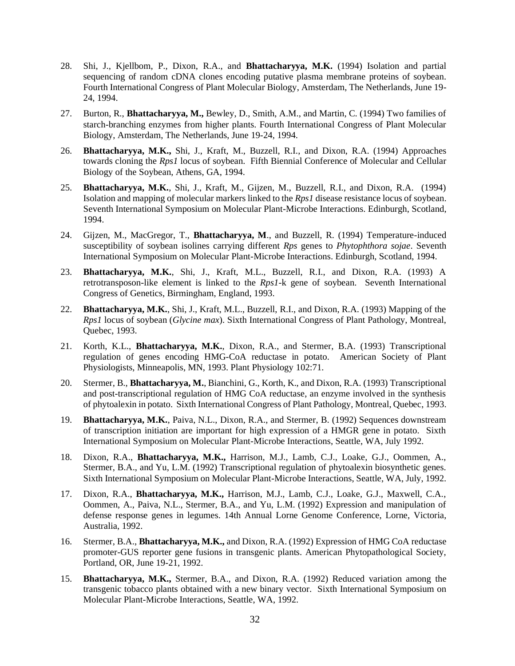- 28. Shi, J., Kjellbom, P., Dixon, R.A., and **Bhattacharyya, M.K.** (1994) Isolation and partial sequencing of random cDNA clones encoding putative plasma membrane proteins of soybean. Fourth International Congress of Plant Molecular Biology, Amsterdam, The Netherlands, June 19- 24, 1994.
- 27. Burton, R., **Bhattacharyya, M.,** Bewley, D., Smith, A.M., and Martin, C. (1994) Two families of starch-branching enzymes from higher plants. Fourth International Congress of Plant Molecular Biology, Amsterdam, The Netherlands, June 19-24, 1994.
- 26. **Bhattacharyya, M.K.,** Shi, J., Kraft, M., Buzzell, R.I., and Dixon, R.A. (1994) Approaches towards cloning the *Rps1* locus of soybean. Fifth Biennial Conference of Molecular and Cellular Biology of the Soybean, Athens, GA, 1994.
- 25. **Bhattacharyya, M.K.**, Shi, J., Kraft, M., Gijzen, M., Buzzell, R.I., and Dixon, R.A. (1994) Isolation and mapping of molecular markers linked to the *Rps1* disease resistance locus of soybean. Seventh International Symposium on Molecular Plant-Microbe Interactions. Edinburgh, Scotland, 1994.
- 24. Gijzen, M., MacGregor, T., **Bhattacharyya, M**., and Buzzell, R. (1994) Temperature-induced susceptibility of soybean isolines carrying different *Rps* genes to *Phytophthora sojae*. Seventh International Symposium on Molecular Plant-Microbe Interactions. Edinburgh, Scotland, 1994.
- 23. **Bhattacharyya, M.K.**, Shi, J., Kraft, M.L., Buzzell, R.I., and Dixon, R.A. (1993) A retrotransposon-like element is linked to the *Rps1*-k gene of soybean. Seventh International Congress of Genetics, Birmingham, England, 1993.
- 22. **Bhattacharyya, M.K.**, Shi, J., Kraft, M.L., Buzzell, R.I., and Dixon, R.A. (1993) Mapping of the *Rps1* locus of soybean (*Glycine max*). Sixth International Congress of Plant Pathology, Montreal, Quebec, 1993.
- 21. Korth, K.L., **Bhattacharyya, M.K.**, Dixon, R.A., and Stermer, B.A. (1993) Transcriptional regulation of genes encoding HMG-CoA reductase in potato. American Society of Plant Physiologists, Minneapolis, MN, 1993. Plant Physiology 102:71.
- 20. Stermer, B., **Bhattacharyya, M.**, Bianchini, G., Korth, K., and Dixon, R.A. (1993) Transcriptional and post-transcriptional regulation of HMG CoA reductase, an enzyme involved in the synthesis of phytoalexin in potato.Sixth International Congress of Plant Pathology, Montreal, Quebec, 1993.
- 19. **Bhattacharyya, M.K.**, Paiva, N.L., Dixon, R.A., and Stermer, B. (1992) Sequences downstream of transcription initiation are important for high expression of a HMGR gene in potato. Sixth International Symposium on Molecular Plant-Microbe Interactions, Seattle, WA, July 1992.
- 18. Dixon, R.A., **Bhattacharyya, M.K.,** Harrison, M.J., Lamb, C.J., Loake, G.J., Oommen, A., Stermer, B.A., and Yu, L.M. (1992) Transcriptional regulation of phytoalexin biosynthetic genes. Sixth International Symposium on Molecular Plant-Microbe Interactions, Seattle, WA, July, 1992.
- 17. Dixon, R.A., **Bhattacharyya, M.K.,** Harrison, M.J., Lamb, C.J., Loake, G.J., Maxwell, C.A., Oommen, A., Paiva, N.L., Stermer, B.A., and Yu, L.M. (1992) Expression and manipulation of defense response genes in legumes. 14th Annual Lorne Genome Conference, Lorne, Victoria, Australia, 1992.
- 16. Stermer, B.A., **Bhattacharyya, M.K.,** and Dixon, R.A. (1992) Expression of HMG CoA reductase promoter-GUS reporter gene fusions in transgenic plants. American Phytopathological Society, Portland, OR, June 19-21, 1992.
- 15. **Bhattacharyya, M.K.,** Stermer, B.A., and Dixon, R.A. (1992) Reduced variation among the transgenic tobacco plants obtained with a new binary vector. Sixth International Symposium on Molecular Plant-Microbe Interactions, Seattle, WA, 1992.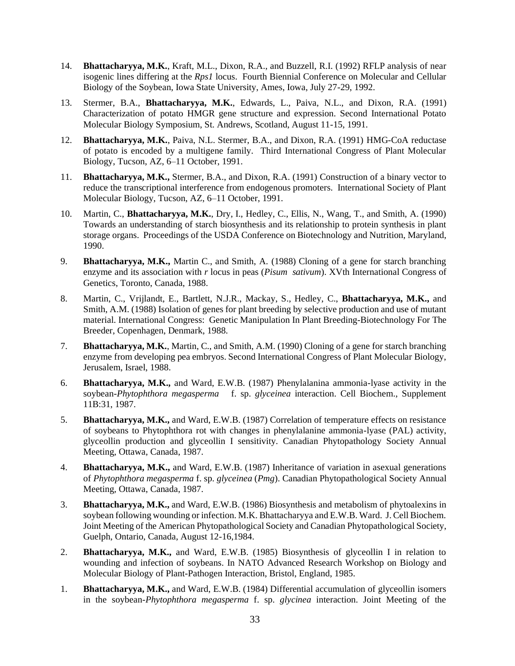- 14. **Bhattacharyya, M.K.**, Kraft, M.L., Dixon, R.A., and Buzzell, R.I. (1992) RFLP analysis of near isogenic lines differing at the *Rps1* locus. Fourth Biennial Conference on Molecular and Cellular Biology of the Soybean, Iowa State University, Ames, Iowa, July 27-29, 1992.
- 13. Stermer, B.A., **Bhattacharyya, M.K.**, Edwards, L., Paiva, N.L., and Dixon, R.A. (1991) Characterization of potato HMGR gene structure and expression. Second International Potato Molecular Biology Symposium, St. Andrews, Scotland, August 11-15, 1991.
- 12. **Bhattacharyya, M.K.**, Paiva, N.L. Stermer, B.A., and Dixon, R.A. (1991) HMG-CoA reductase of potato is encoded by a multigene family. Third International Congress of Plant Molecular Biology, Tucson, AZ, 6–11 October, 1991.
- 11. **Bhattacharyya, M.K.,** Stermer, B.A., and Dixon, R.A. (1991) Construction of a binary vector to reduce the transcriptional interference from endogenous promoters. International Society of Plant Molecular Biology, Tucson, AZ, 6–11 October, 1991.
- 10. Martin, C., **Bhattacharyya, M.K.**, Dry, I., Hedley, C., Ellis, N., Wang, T., and Smith, A. (1990) Towards an understanding of starch biosynthesis and its relationship to protein synthesis in plant storage organs. Proceedings of the USDA Conference on Biotechnology and Nutrition, Maryland, 1990.
- 9. **Bhattacharyya, M.K.,** Martin C., and Smith, A. (1988) Cloning of a gene for starch branching enzyme and its association with *r* locus in peas (*Pisum sativum*). XVth International Congress of Genetics, Toronto, Canada, 1988.
- 8. Martin, C., Vrijlandt, E., Bartlett, N.J.R., Mackay, S., Hedley, C., **Bhattacharyya, M.K.,** and Smith, A.M. (1988) Isolation of genes for plant breeding by selective production and use of mutant material. International Congress: Genetic Manipulation In Plant Breeding-Biotechnology For The Breeder, Copenhagen, Denmark, 1988.
- 7. **Bhattacharyya, M.K.**, Martin, C., and Smith, A.M. (1990) Cloning of a gene for starch branching enzyme from developing pea embryos. Second International Congress of Plant Molecular Biology, Jerusalem, Israel, 1988.
- 6. **Bhattacharyya, M.K.,** and Ward, E.W.B. (1987) Phenylalanina ammonia-lyase activity in the soybean-*Phytophthora megasperma* f. sp. *glyceinea* interaction. Cell Biochem., Supplement 11B:31, 1987.
- 5. **Bhattacharyya, M.K.,** and Ward, E.W.B. (1987) Correlation of temperature effects on resistance of soybeans to Phytophthora rot with changes in phenylalanine ammonia-lyase (PAL) activity, glyceollin production and glyceollin I sensitivity. Canadian Phytopathology Society Annual Meeting, Ottawa, Canada, 1987.
- 4. **Bhattacharyya, M.K.,** and Ward, E.W.B. (1987) Inheritance of variation in asexual generations of *Phytophthora megasperma* f. sp. *glyceinea* (*Pmg*). Canadian Phytopathological Society Annual Meeting, Ottawa, Canada, 1987.
- 3. **Bhattacharyya, M.K.,** and Ward, E.W.B. (1986) Biosynthesis and metabolism of phytoalexins in soybean following wounding or infection. M.K. Bhattacharyya and E.W.B. Ward. J. Cell Biochem. Joint Meeting of the American Phytopathological Society and Canadian Phytopathological Society, Guelph, Ontario, Canada, August 12-16,1984.
- 2. **Bhattacharyya, M.K.,** and Ward, E.W.B. (1985) Biosynthesis of glyceollin I in relation to wounding and infection of soybeans. In NATO Advanced Research Workshop on Biology and Molecular Biology of Plant-Pathogen Interaction, Bristol, England, 1985.
- 1. **Bhattacharyya, M.K.,** and Ward, E.W.B. (1984) Differential accumulation of glyceollin isomers in the soybean-*Phytophthora megasperma* f. sp. *glycinea* interaction. Joint Meeting of the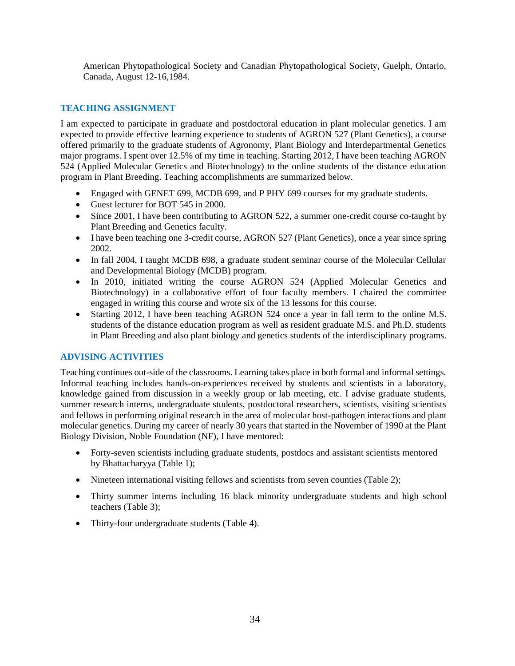American Phytopathological Society and Canadian Phytopathological Society, Guelph, Ontario, Canada, August 12-16,1984.

# **TEACHING ASSIGNMENT**

I am expected to participate in graduate and postdoctoral education in plant molecular genetics. I am expected to provide effective learning experience to students of AGRON 527 (Plant Genetics), a course offered primarily to the graduate students of Agronomy, Plant Biology and Interdepartmental Genetics major programs. I spent over 12.5% of my time in teaching. Starting 2012, I have been teaching AGRON 524 (Applied Molecular Genetics and Biotechnology) to the online students of the distance education program in Plant Breeding. Teaching accomplishments are summarized below.

- Engaged with GENET 699, MCDB 699, and P PHY 699 courses for my graduate students.
- Guest lecturer for BOT 545 in 2000.
- Since 2001, I have been contributing to AGRON 522, a summer one-credit course co-taught by Plant Breeding and Genetics faculty.
- I have been teaching one 3-credit course, AGRON 527 (Plant Genetics), once a year since spring 2002.
- In fall 2004, I taught MCDB 698, a graduate student seminar course of the Molecular Cellular and Developmental Biology (MCDB) program.
- In 2010, initiated writing the course AGRON 524 (Applied Molecular Genetics and Biotechnology) in a collaborative effort of four faculty members. I chaired the committee engaged in writing this course and wrote six of the 13 lessons for this course.
- Starting 2012, I have been teaching AGRON 524 once a year in fall term to the online M.S. students of the distance education program as well as resident graduate M.S. and Ph.D. students in Plant Breeding and also plant biology and genetics students of the interdisciplinary programs.

# **ADVISING ACTIVITIES**

Teaching continues out-side of the classrooms. Learning takes place in both formal and informal settings. Informal teaching includes hands-on-experiences received by students and scientists in a laboratory, knowledge gained from discussion in a weekly group or lab meeting, etc. I advise graduate students, summer research interns, undergraduate students, postdoctoral researchers, scientists, visiting scientists and fellows in performing original research in the area of molecular host-pathogen interactions and plant molecular genetics. During my career of nearly 30 years that started in the November of 1990 at the Plant Biology Division, Noble Foundation (NF), I have mentored:

- Forty-seven scientists including graduate students, postdocs and assistant scientists mentored by Bhattacharyya (Table 1);
- Nineteen international visiting fellows and scientists from seven counties (Table 2);
- Thirty summer interns including 16 black minority undergraduate students and high school teachers (Table 3);
- Thirty-four undergraduate students (Table 4).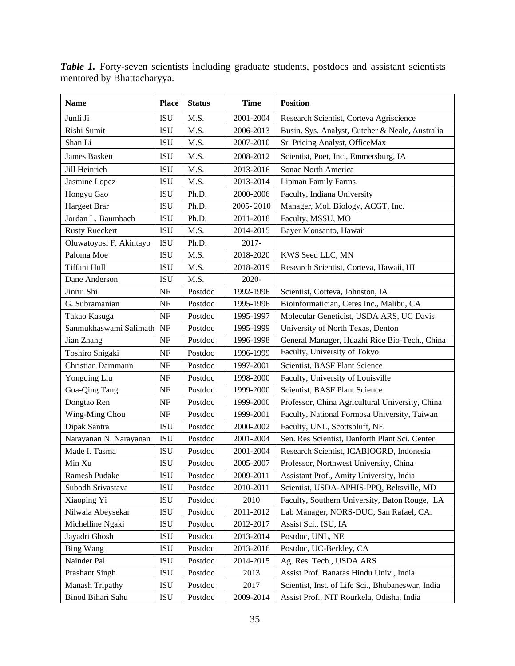| <b>Name</b>              | <b>Place</b> | <b>Status</b> | <b>Time</b> | <b>Position</b>                                   |
|--------------------------|--------------|---------------|-------------|---------------------------------------------------|
| Junli Ji                 | <b>ISU</b>   | M.S.          | 2001-2004   | Research Scientist, Corteva Agriscience           |
| Rishi Sumit              | <b>ISU</b>   | M.S.          | 2006-2013   | Busin. Sys. Analyst, Cutcher & Neale, Australia   |
| Shan Li                  | <b>ISU</b>   | M.S.          | 2007-2010   | Sr. Pricing Analyst, OfficeMax                    |
| James Baskett            | <b>ISU</b>   | M.S.          | 2008-2012   | Scientist, Poet, Inc., Emmetsburg, IA             |
| Jill Heinrich            | <b>ISU</b>   | M.S.          | 2013-2016   | Sonac North America                               |
| Jasmine Lopez            | <b>ISU</b>   | M.S.          | 2013-2014   | Lipman Family Farms.                              |
| Hongyu Gao               | <b>ISU</b>   | Ph.D.         | 2000-2006   | Faculty, Indiana University                       |
| Hargeet Brar             | <b>ISU</b>   | Ph.D.         | 2005-2010   | Manager, Mol. Biology, ACGT, Inc.                 |
| Jordan L. Baumbach       | <b>ISU</b>   | Ph.D.         | 2011-2018   | Faculty, MSSU, MO                                 |
| <b>Rusty Rueckert</b>    | <b>ISU</b>   | M.S.          | 2014-2015   | Bayer Monsanto, Hawaii                            |
| Oluwatoyosi F. Akintayo  | <b>ISU</b>   | Ph.D.         | 2017-       |                                                   |
| Paloma Moe               | <b>ISU</b>   | M.S.          | 2018-2020   | KWS Seed LLC, MN                                  |
| Tiffani Hull             | <b>ISU</b>   | M.S.          | 2018-2019   | Research Scientist, Corteva, Hawaii, HI           |
| Dane Anderson            | <b>ISU</b>   | M.S.          | 2020-       |                                                   |
| Jinrui Shi               | NF           | Postdoc       | 1992-1996   | Scientist, Corteva, Johnston, IA                  |
| G. Subramanian           | NF           | Postdoc       | 1995-1996   | Bioinformatician, Ceres Inc., Malibu, CA          |
| Takao Kasuga             | NF           | Postdoc       | 1995-1997   | Molecular Geneticist, USDA ARS, UC Davis          |
| Sanmukhaswami Salimath   | <b>NF</b>    | Postdoc       | 1995-1999   | University of North Texas, Denton                 |
| Jian Zhang               | NF           | Postdoc       | 1996-1998   | General Manager, Huazhi Rice Bio-Tech., China     |
| Toshiro Shigaki          | NF           | Postdoc       | 1996-1999   | Faculty, University of Tokyo                      |
| <b>Christian Dammann</b> | NF           | Postdoc       | 1997-2001   | Scientist, BASF Plant Science                     |
| Yongqing Liu             | NF           | Postdoc       | 1998-2000   | Faculty, University of Louisville                 |
| Gua-Qing Tang            | NF           | Postdoc       | 1999-2000   | Scientist, BASF Plant Science                     |
| Dongtao Ren              | NF           | Postdoc       | 1999-2000   | Professor, China Agricultural University, China   |
| Wing-Ming Chou           | NF           | Postdoc       | 1999-2001   | Faculty, National Formosa University, Taiwan      |
| Dipak Santra             | <b>ISU</b>   | Postdoc       | 2000-2002   | Faculty, UNL, Scottsbluff, NE                     |
| Narayanan N. Narayanan   | <b>ISU</b>   | Postdoc       | 2001-2004   | Sen. Res Scientist, Danforth Plant Sci. Center    |
| Made I. Tasma            | <b>ISU</b>   | Postdoc       | 2001-2004   | Research Scientist, ICABIOGRD, Indonesia          |
| Min Xu                   | <b>ISU</b>   | Postdoc       | 2005-2007   | Professor, Northwest University, China            |
| Ramesh Pudake            | <b>ISU</b>   | Postdoc       | 2009-2011   | Assistant Prof., Amity University, India          |
| Subodh Srivastava        | ISU          | Postdoc       | 2010-2011   | Scientist, USDA-APHIS-PPQ, Beltsville, MD         |
| Xiaoping Yi              | ISU          | Postdoc       | 2010        | Faculty, Southern University, Baton Rouge, LA     |
| Nilwala Abeysekar        | ISU          | Postdoc       | 2011-2012   | Lab Manager, NORS-DUC, San Rafael, CA.            |
| Michelline Ngaki         | <b>ISU</b>   | Postdoc       | 2012-2017   | Assist Sci., ISU, IA                              |
| Jayadri Ghosh            | ISU          | Postdoc       | 2013-2014   | Postdoc, UNL, NE                                  |
| <b>Bing Wang</b>         | <b>ISU</b>   | Postdoc       | 2013-2016   | Postdoc, UC-Berkley, CA                           |
| Nainder Pal              | ISU          | Postdoc       | 2014-2015   | Ag. Res. Tech., USDA ARS                          |
| <b>Prashant Singh</b>    | ISU          | Postdoc       | 2013        | Assist Prof. Banaras Hindu Univ., India           |
| Manash Tripathy          | ISU          | Postdoc       | 2017        | Scientist, Inst. of Life Sci., Bhubaneswar, India |
| Binod Bihari Sahu        | ISU          | Postdoc       | 2009-2014   | Assist Prof., NIT Rourkela, Odisha, India         |

Table 1. Forty-seven scientists including graduate students, postdocs and assistant scientists mentored by Bhattacharyya.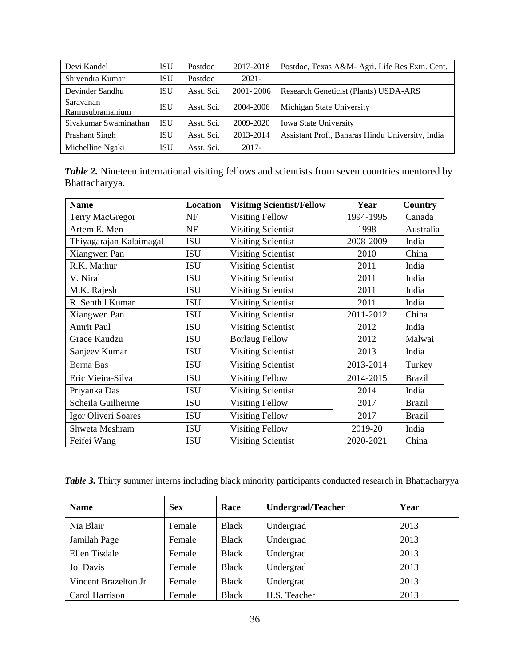| Devi Kandel                  | <b>ISU</b> | Postdoc    | 2017-2018     | Postdoc, Texas A&M- Agri. Life Res Extn. Cent.   |
|------------------------------|------------|------------|---------------|--------------------------------------------------|
| Shivendra Kumar              | <b>ISU</b> | Postdoc    | $2021 -$      |                                                  |
| Devinder Sandhu              | <b>ISU</b> | Asst. Sci. | $2001 - 2006$ | Research Geneticist (Plants) USDA-ARS            |
| Saravanan<br>Ramusubramanium | <b>ISU</b> | Asst. Sci. | 2004-2006     | Michigan State University                        |
| Sivakumar Swaminathan        | <b>ISU</b> | Asst. Sci. | 2009-2020     | Iowa State University                            |
| Prashant Singh               | <b>ISU</b> | Asst. Sci. | 2013-2014     | Assistant Prof., Banaras Hindu University, India |
| Michelline Ngaki             | ISU        | Asst. Sci. | $2017 -$      |                                                  |

| <b>Table 2.</b> Nineteen international visiting fellows and scientists from seven countries mentored by |  |  |  |
|---------------------------------------------------------------------------------------------------------|--|--|--|
| Bhattacharyya.                                                                                          |  |  |  |

| <b>Name</b>             | Location   | <b>Visiting Scientist/Fellow</b> | Year      | <b>Country</b> |
|-------------------------|------------|----------------------------------|-----------|----------------|
| <b>Terry MacGregor</b>  | <b>NF</b>  | <b>Visiting Fellow</b>           | 1994-1995 | Canada         |
| Artem E. Men            | <b>NF</b>  | <b>Visiting Scientist</b>        | 1998      | Australia      |
| Thiyagarajan Kalaimagal | <b>ISU</b> | <b>Visiting Scientist</b>        | 2008-2009 | India          |
| Xiangwen Pan            | <b>ISU</b> | <b>Visiting Scientist</b>        | 2010      | China          |
| R.K. Mathur             | <b>ISU</b> | <b>Visiting Scientist</b>        | 2011      | India          |
| V. Niral                | <b>ISU</b> | <b>Visiting Scientist</b>        | 2011      | India          |
| M.K. Rajesh             | <b>ISU</b> | <b>Visiting Scientist</b>        | 2011      | India          |
| R. Senthil Kumar        | <b>ISU</b> | <b>Visiting Scientist</b>        | 2011      | India          |
| Xiangwen Pan            | <b>ISU</b> | <b>Visiting Scientist</b>        | 2011-2012 | China          |
| <b>Amrit Paul</b>       | <b>ISU</b> | <b>Visiting Scientist</b>        | 2012      | India          |
| Grace Kaudzu            | <b>ISU</b> | <b>Borlaug Fellow</b>            | 2012      | Malwai         |
| Sanjeev Kumar           | <b>ISU</b> | <b>Visiting Scientist</b>        | 2013      | India          |
| <b>Berna Bas</b>        | <b>ISU</b> | <b>Visiting Scientist</b>        | 2013-2014 | Turkey         |
| Eric Vieira-Silva       | <b>ISU</b> | <b>Visiting Fellow</b>           | 2014-2015 | <b>Brazil</b>  |
| Priyanka Das            | <b>ISU</b> | <b>Visiting Scientist</b>        | 2014      | India          |
| Scheila Guilherme       | <b>ISU</b> | <b>Visiting Fellow</b>           | 2017      | <b>Brazil</b>  |
| Igor Oliveri Soares     | <b>ISU</b> | <b>Visiting Fellow</b>           | 2017      | <b>Brazil</b>  |
| Shweta Meshram          | <b>ISU</b> | <b>Visiting Fellow</b>           | 2019-20   | India          |
| Feifei Wang             | <b>ISU</b> | <b>Visiting Scientist</b>        | 2020-2021 | China          |

*Table 3.* Thirty summer interns including black minority participants conducted research in Bhattacharyya

| <b>Name</b>          | <b>Sex</b> | Race         | <b>Undergrad/Teacher</b> | Year |
|----------------------|------------|--------------|--------------------------|------|
| Nia Blair            | Female     | <b>Black</b> | Undergrad                | 2013 |
| Jamilah Page         | Female     | <b>Black</b> | Undergrad                | 2013 |
| Ellen Tisdale        | Female     | <b>Black</b> | Undergrad                | 2013 |
| Joi Davis            | Female     | <b>Black</b> | Undergrad                | 2013 |
| Vincent Brazelton Jr | Female     | <b>Black</b> | Undergrad                | 2013 |
| Carol Harrison       | Female     | <b>Black</b> | H.S. Teacher             | 2013 |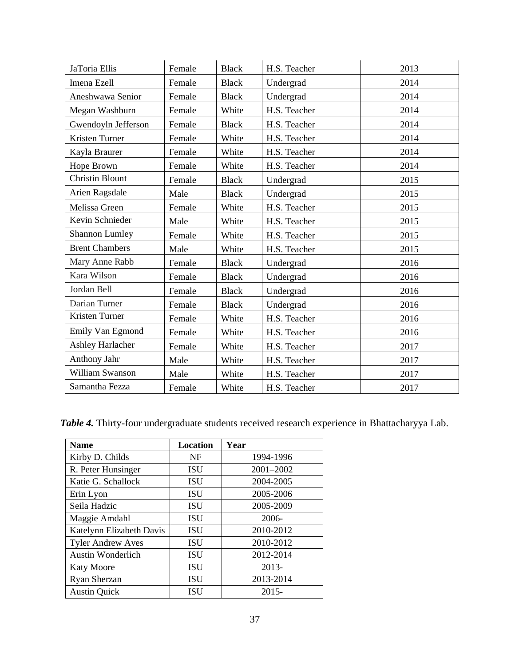| JaToria Ellis          | Female | <b>Black</b> | H.S. Teacher | 2013 |
|------------------------|--------|--------------|--------------|------|
| Imena Ezell            | Female | <b>Black</b> | Undergrad    | 2014 |
| Aneshwawa Senior       | Female | <b>Black</b> | Undergrad    | 2014 |
| Megan Washburn         | Female | White        | H.S. Teacher | 2014 |
| Gwendoyln Jefferson    | Female | <b>Black</b> | H.S. Teacher | 2014 |
| Kristen Turner         | Female | White        | H.S. Teacher | 2014 |
| Kayla Braurer          | Female | White        | H.S. Teacher | 2014 |
| Hope Brown             | Female | White        | H.S. Teacher | 2014 |
| <b>Christin Blount</b> | Female | <b>Black</b> | Undergrad    | 2015 |
| Arien Ragsdale         | Male   | <b>Black</b> | Undergrad    | 2015 |
| Melissa Green          | Female | White        | H.S. Teacher | 2015 |
| Kevin Schnieder        | Male   | White        | H.S. Teacher | 2015 |
| <b>Shannon Lumley</b>  | Female | White        | H.S. Teacher | 2015 |
| <b>Brent Chambers</b>  | Male   | White        | H.S. Teacher | 2015 |
| Mary Anne Rabb         | Female | <b>Black</b> | Undergrad    | 2016 |
| Kara Wilson            | Female | <b>Black</b> | Undergrad    | 2016 |
| Jordan Bell            | Female | <b>Black</b> | Undergrad    | 2016 |
| Darian Turner          | Female | <b>Black</b> | Undergrad    | 2016 |
| Kristen Turner         | Female | White        | H.S. Teacher | 2016 |
| Emily Van Egmond       | Female | White        | H.S. Teacher | 2016 |
| Ashley Harlacher       | Female | White        | H.S. Teacher | 2017 |
| Anthony Jahr           | Male   | White        | H.S. Teacher | 2017 |
| William Swanson        | Male   | White        | H.S. Teacher | 2017 |
| Samantha Fezza         | Female | White        | H.S. Teacher | 2017 |

*Table 4.* Thirty-four undergraduate students received research experience in Bhattacharyya Lab.

| <b>Name</b>              | <b>Location</b> | Year      |
|--------------------------|-----------------|-----------|
| Kirby D. Childs          | <b>NF</b>       | 1994-1996 |
| R. Peter Hunsinger       | <b>ISU</b>      | 2001-2002 |
| Katie G. Schallock       | <b>ISU</b>      | 2004-2005 |
| Erin Lyon                | <b>ISU</b>      | 2005-2006 |
| Seila Hadzic             | <b>ISU</b>      | 2005-2009 |
| Maggie Amdahl            | <b>ISU</b>      | $2006 -$  |
| Katelynn Elizabeth Davis | <b>ISU</b>      | 2010-2012 |
| <b>Tyler Andrew Aves</b> | <b>ISU</b>      | 2010-2012 |
| <b>Austin Wonderlich</b> | <b>ISU</b>      | 2012-2014 |
| <b>Katy Moore</b>        | <b>ISU</b>      | $2013-$   |
| Ryan Sherzan             | <b>ISU</b>      | 2013-2014 |
| <b>Austin Quick</b>      | <b>ISU</b>      | $2015 -$  |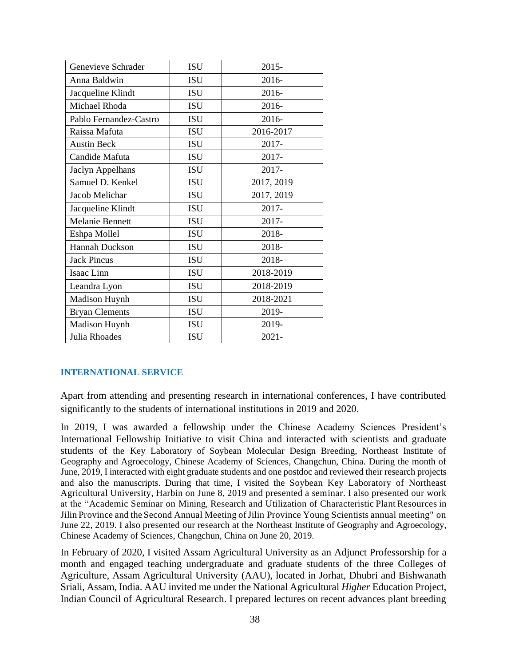| Genevieve Schrader     | <b>ISU</b> | $2015 -$   |
|------------------------|------------|------------|
| Anna Baldwin           | <b>ISU</b> | 2016-      |
| Jacqueline Klindt      | <b>ISU</b> | 2016-      |
| Michael Rhoda          | <b>ISU</b> | 2016-      |
| Pablo Fernandez-Castro | <b>ISU</b> | 2016-      |
| Raissa Mafuta          | <b>ISU</b> | 2016-2017  |
| <b>Austin Beck</b>     | <b>ISU</b> | 2017-      |
| Candide Mafuta         | ISU        | 2017-      |
| Jaclyn Appelhans       | <b>ISU</b> | 2017-      |
| Samuel D. Kenkel       | <b>ISU</b> | 2017, 2019 |
| Jacob Melichar         | <b>ISU</b> | 2017, 2019 |
| Jacqueline Klindt      | <b>ISU</b> | 2017-      |
| <b>Melanie Bennett</b> | <b>ISU</b> | 2017-      |
| Eshpa Mollel           | <b>ISU</b> | 2018-      |
| Hannah Duckson         | <b>ISU</b> | 2018-      |
| <b>Jack Pincus</b>     | <b>ISU</b> | 2018-      |
| Isaac Linn             | <b>ISU</b> | 2018-2019  |
| Leandra Lyon           | <b>ISU</b> | 2018-2019  |
| Madison Huynh          | <b>ISU</b> | 2018-2021  |
| <b>Bryan Clements</b>  | <b>ISU</b> | 2019-      |
| Madison Huynh          | <b>ISU</b> | 2019-      |
| Julia Rhoades          | <b>ISU</b> | $2021 -$   |

# **INTERNATIONAL SERVICE**

Apart from attending and presenting research in international conferences, I have contributed significantly to the students of international institutions in 2019 and 2020.

In 2019, I was awarded a fellowship under the Chinese Academy Sciences President's International Fellowship Initiative to visit China and interacted with scientists and graduate students of the Key Laboratory of Soybean Molecular Design Breeding, Northeast Institute of Geography and Agroecology, Chinese Academy of Sciences, Changchun, China. During the month of June, 2019, I interacted with eight graduate students and one postdoc and reviewed their research projects and also the manuscripts. During that time, I visited the Soybean Key Laboratory of Northeast Agricultural University, Harbin on June 8, 2019 and presented a seminar. I also presented our work at the "Academic Seminar on Mining, Research and Utilization of Characteristic Plant Resources in Jilin Province and the Second Annual Meeting of Jilin Province Young Scientists annual meeting" on June 22, 2019. I also presented our research at the Northeast Institute of Geography and Agroecology, Chinese Academy of Sciences, Changchun, China on June 20, 2019.

In February of 2020, I visited Assam Agricultural University as an Adjunct Professorship for a month and engaged teaching undergraduate and graduate students of the three Colleges of Agriculture, Assam Agricultural University (AAU), located in Jorhat, Dhubri and Bishwanath Sriali, Assam, India. AAU invited me under the National Agricultural *Higher* Education Project, Indian Council of Agricultural Research. I prepared lectures on recent advances plant breeding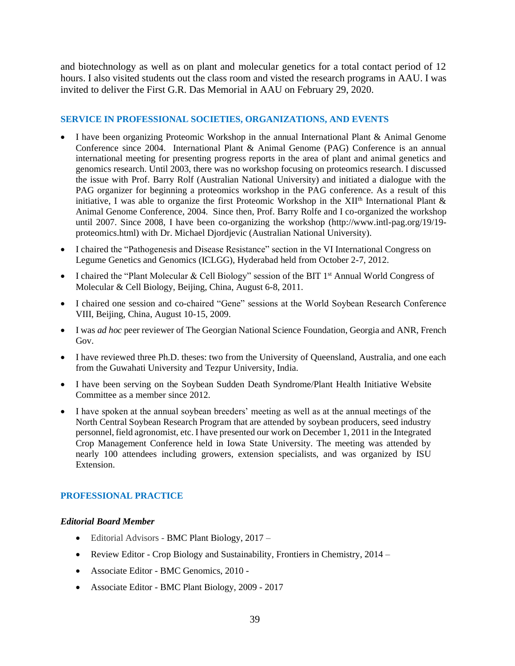and biotechnology as well as on plant and molecular genetics for a total contact period of 12 hours. I also visited students out the class room and visted the research programs in AAU. I was invited to deliver the First G.R. Das Memorial in AAU on February 29, 2020.

## **SERVICE IN PROFESSIONAL SOCIETIES, ORGANIZATIONS, AND EVENTS**

- I have been organizing Proteomic Workshop in the annual International Plant & Animal Genome Conference since 2004. International Plant & Animal Genome (PAG) Conference is an annual international meeting for presenting progress reports in the area of plant and animal genetics and genomics research. Until 2003, there was no workshop focusing on proteomics research. I discussed the issue with Prof. Barry Rolf (Australian National University) and initiated a dialogue with the PAG organizer for beginning a proteomics workshop in the PAG conference. As a result of this initiative, I was able to organize the first Proteomic Workshop in the XII<sup>th</sup> International Plant  $\&$ Animal Genome Conference, 2004. Since then, Prof. Barry Rolfe and I co-organized the workshop until 2007. Since 2008, I have been co-organizing the workshop (http://www.intl-pag.org/19/19 proteomics.html) with Dr. Michael Djordjevic (Australian National University).
- I chaired the "Pathogenesis and Disease Resistance" section in the VI International Congress on Legume Genetics and Genomics (ICLGG), Hyderabad held from October 2-7, 2012.
- I chaired the "Plant Molecular & Cell Biology" session of the BIT  $1<sup>st</sup>$  Annual World Congress of Molecular & Cell Biology, Beijing, China, August 6-8, 2011.
- I chaired one session and co-chaired "Gene" sessions at the World Soybean Research Conference VIII, Beijing, China, August 10-15, 2009.
- I was *ad hoc* peer reviewer of The Georgian National Science Foundation, Georgia and ANR, French Gov.
- I have reviewed three Ph.D. theses: two from the University of Queensland, Australia, and one each from the Guwahati University and Tezpur University, India.
- I have been serving on the Soybean Sudden Death Syndrome/Plant Health Initiative Website Committee as a member since 2012.
- I have spoken at the annual soybean breeders' meeting as well as at the annual meetings of the North Central Soybean Research Program that are attended by soybean producers, seed industry personnel, field agronomist, etc. I have presented our work on December 1, 2011 in the Integrated Crop Management Conference held in Iowa State University. The meeting was attended by nearly 100 attendees including growers, extension specialists, and was organized by ISU Extension.

#### **PROFESSIONAL PRACTICE**

#### *Editorial Board Member*

- Editorial Advisors BMC Plant Biology, 2017 –
- Review Editor Crop Biology and Sustainability, Frontiers in Chemistry, 2014 –
- Associate Editor BMC Genomics, 2010 -
- Associate Editor BMC Plant Biology, 2009 2017